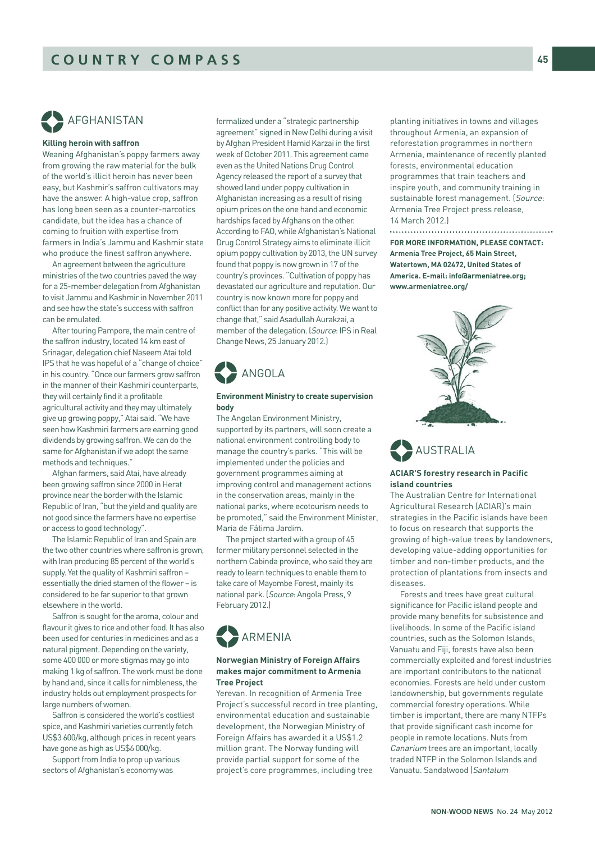# AFGHANISTAN %

#### **Killing heroin with saffron**

Weaning Afghanistan's poppy farmers away from growing the raw material for the bulk of the world's illicit heroin has never been easy, but Kashmir's saffron cultivators may have the answer. A high-value crop, saffron has long been seen as a counter-narcotics candidate, but the idea has a chance of coming to fruition with expertise from farmers in India's Jammu and Kashmir state who produce the finest saffron anywhere.

An agreement between the agriculture ministries of the two countries paved the way for a 25-member delegation from Afghanistan to visit Jammu and Kashmir in November 2011 and see how the state's success with saffron can be emulated.

After touring Pampore, the main centre of the saffron industry, located 14 km east of Srinagar, delegation chief Naseem Atai told IPS that he was hopeful of a "change of choice" in his country. "Once our farmers grow saffron in the manner of their Kashmiri counterparts, they will certainly find it a profitable agricultural activity and they may ultimately give up growing poppy," Atai said. "We have seen how Kashmiri farmers are earning good dividends by growing saffron. We can do the same for Afghanistan if we adopt the same methods and techniques."

Afghan farmers, said Atai, have already been growing saffron since 2000 in Herat province near the border with the Islamic Republic of Iran, "but the yield and quality are not good since the farmers have no expertise or access to good technology".

The Islamic Republic of Iran and Spain are the two other countries where saffron is grown, with Iran producing 85 percent of the world's supply. Yet the quality of Kashmiri saffron – essentially the dried stamen of the flower – is considered to be far superior to that grown elsewhere in the world.

Saffron is sought for the aroma, colour and flavour it gives to rice and other food. It has also been used for centuries in medicines and as a natural pigment. Depending on the variety, some 400 000 or more stigmas may go into making 1 kg of saffron. The work must be done by hand and, since it calls for nimbleness, the industry holds out employment prospects for large numbers of women.

Saffron is considered the world's costliest spice, and Kashmiri varieties currently fetch US\$3 600/kg, although prices in recent years have gone as high as US\$6 000/kg.

Support from India to prop up various sectors of Afghanistan's economy was

formalized under a "strategic partnership agreement" signed in New Delhi during a visit by Afghan President Hamid Karzai in the first week of October 2011. This agreement came even as the United Nations Drug Control Agency released the report of a survey that showed land under poppy cultivation in Afghanistan increasing as a result of rising opium prices on the one hand and economic hardships faced by Afghans on the other. According to FAO, while Afghanistan's National Drug Control Strategy aims to eliminate illicit opium poppy cultivation by 2013, the UN survey found that poppy is now grown in 17 of the country's provinces. "Cultivation of poppy has devastated our agriculture and reputation. Our country is now known more for poppy and conflict than for any positive activity. We want to change that," said Asadullah Aurakzai, a member of the delegation. (Source: IPS in Real Change News, 25 January 2012.)



#### **Environment Ministry to create supervision body**

The Angolan Environment Ministry, supported by its partners, will soon create a national environment controlling body to manage the country's parks. "This will be implemented under the policies and government programmes aiming at improving control and management actions in the conservation areas, mainly in the national parks, where ecotourism needs to be promoted," said the Environment Minister, Maria de Fátima Jardim.

The project started with a group of 45 former military personnel selected in the northern Cabinda province, who said they are ready to learn techniques to enable them to take care of Mayombe Forest, mainly its national park. (Source: Angola Press, 9 February 2012.)



### **Norwegian Ministry of Foreign Affairs makes major commitment to Armenia Tree Project**

Yerevan. In recognition of Armenia Tree Project's successful record in tree planting, environmental education and sustainable development, the Norwegian Ministry of Foreign Affairs has awarded it a US\$1.2 million grant. The Norway funding will provide partial support for some of the project's core programmes, including tree

planting initiatives in towns and villages throughout Armenia, an expansion of reforestation programmes in northern Armenia, maintenance of recently planted forests, environmental education programmes that train teachers and inspire youth, and community training in sustainable forest management. (Source: Armenia Tree Project press release, 14 March 2012.)

**FOR MORE INFORMATION, PLEASE CONTACT: Armenia Tree Project, 65 Main Street, Watertown, MA 02472, United States of America. E-mail: info@armeniatree.org; www.armeniatree.org/**



AUSTRALIA %

#### **ACIAR'S forestry research in Pacific island countries**

The Australian Centre for International Agricultural Research (ACIAR)'s main strategies in the Pacific islands have been to focus on research that supports the growing of high-value trees by landowners, developing value-adding opportunities for timber and non-timber products, and the protection of plantations from insects and diseases.

Forests and trees have great cultural significance for Pacific island people and provide many benefits for subsistence and livelihoods. In some of the Pacific island countries, such as the Solomon Islands, Vanuatu and Fiji, forests have also been commercially exploited and forest industries are important contributors to the national economies. Forests are held under custom landownership, but governments regulate commercial forestry operations. While timber is important, there are many NTFPs that provide significant cash income for people in remote locations. Nuts from Canarium trees are an important, locally traded NTFP in the Solomon Islands and Vanuatu. Sandalwood (Santalum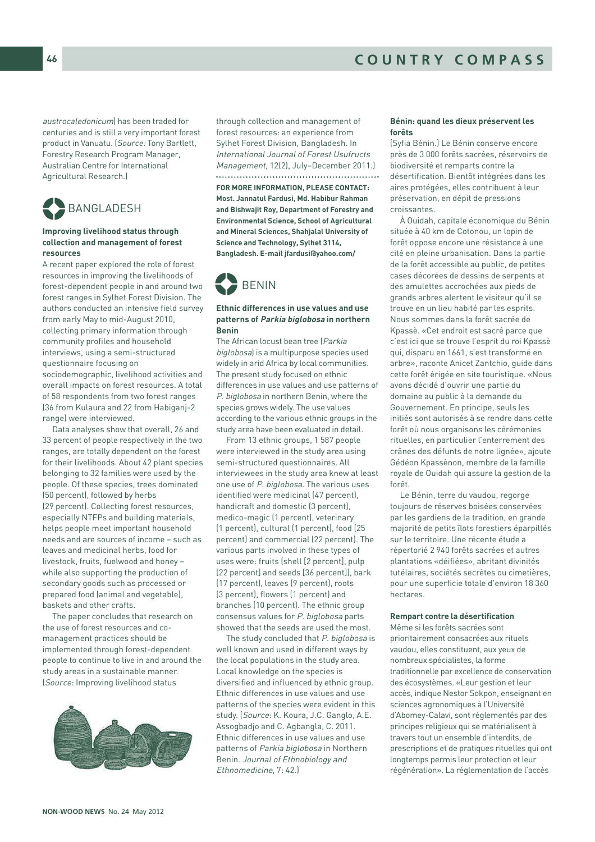austrocaledonicum) has been traded for centuries and is still a very important forest product in Vanuatu. (Source: Tony Bartlett, Forestry Research Program Manager, Australian Centre for International Agricultural Research.)



#### **Improving livelihood status through collection and management of forest resources**

A recent paper explored the role of forest resources in improving the livelihoods of forest-dependent people in and around two forest ranges in Sylhet Forest Division. The authors conducted an intensive field survey from early May to mid-August 2010, collecting primary information through community profiles and household interviews, using a semi-structured questionnaire focusing on sociodemographic, livelihood activities and overall impacts on forest resources. A total of 58 respondents from two forest ranges (36 from Kulaura and 22 from Habiganj-2

range) were interviewed. Data analyses show that overall, 26 and 33 percent of people respectively in the two ranges, are totally dependent on the forest for their livelihoods. About 42 plant species belonging to 32 families were used by the people. Of these species, trees dominated (50 percent), followed by herbs (29 percent). Collecting forest resources, especially NTFPs and building materials, helps people meet important household needs and are sources of income – such as leaves and medicinal herbs, food for livestock, fruits, fuelwood and honey –

while also supporting the production of secondary goods such as processed or prepared food (animal and vegetable), baskets and other crafts. The paper concludes that research on

the use of forest resources and comanagement practices should be implemented through forest-dependent people to continue to live in and around the study areas in a sustainable manner. (Source: Improving livelihood status



through collection and management of forest resources: an experience from Sylhet Forest Division, Bangladesh. In International Journal of Forest Usufructs Management, 12(2), July–December 2011.) 

**FOR MORE INFORMATION, PLEASE CONTACT: Most. Jannatul Fardusi, Md. Habibur Rahman and Bishwajit Roy, Department of Forestry and Environmental Science, School of Agricultural and Mineral Sciences, Shahjalal University of Science and Technology, Sylhet 3114, Bangladesh. E-mail jfardusi@yahoo.com/** 



#### **Ethnic differences in use values and use patterns of Parkia biglobosa in northern Benin**

The African locust bean tree (Parkia biglobosa) is a multipurpose species used widely in arid Africa by local communities. The present study focused on ethnic differences in use values and use patterns of P. biglobosa in northern Benin, where the species grows widely. The use values according to the various ethnic groups in the study area have been evaluated in detail.

From 13 ethnic groups, 1 587 people were interviewed in the study area using semi-structured questionnaires. All interviewees in the study area knew at least one use of P. biglobosa. The various uses identified were medicinal (47 percent), handicraft and domestic (3 percent), medico-magic (1 percent), veterinary (1 percent), cultural (1 percent), food (25 percent) and commercial (22 percent). The various parts involved in these types of uses were: fruits (shell [2 percent], pulp [22 percent] and seeds [36 percent]), bark (17 percent), leaves (9 percent), roots (3 percent), flowers (1 percent) and branches (10 percent). The ethnic group consensus values for P. biglobosa parts showed that the seeds are used the most.

The study concluded that P. biglobosa is well known and used in different ways by the local populations in the study area. Local knowledge on the species is diversified and influenced by ethnic group. Ethnic differences in use values and use patterns of the species were evident in this study. (Source: K. Koura, J.C. Ganglo, A.E. Assogbadjo and C. Agbangla, C. 2011. Ethnic differences in use values and use patterns of Parkia biglobosa in Northern Benin. Journal of Ethnobiology and Ethnomedicine, 7: 42.)

#### **Bénin: quand les dieux préservent les forêts**

(Syfia Bénin.) Le Bénin conserve encore près de 3 000 forêts sacrées, réservoirs de biodiversité et remparts contre la désertification. Bientôt intégrées dans les aires protégées, elles contribuent à leur préservation, en dépit de pressions croissantes.

À Ouidah, capitale économique du Bénin située à 40 km de Cotonou, un lopin de forêt oppose encore une résistance à une cité en pleine urbanisation. Dans la partie de la forêt accessible au public, de petites cases décorées de dessins de serpents et des amulettes accrochées aux pieds de grands arbres alertent le visiteur qu'il se trouve en un lieu habité par les esprits. Nous sommes dans la forêt sacrée de Kpassè. «Cet endroit est sacré parce que c'est ici que se trouve l'esprit du roi Kpassè qui, disparu en 1661, s'est transformé en arbre», raconte Anicet Zantchio, guide dans cette forêt érigée en site touristique. «Nous avons décidé d'ouvrir une partie du domaine au public à la demande du Gouvernement. En principe, seuls les initiés sont autorisés à se rendre dans cette forêt où nous organisons les cérémonies rituelles, en particulier l'enterrement des crânes des défunts de notre lignée», ajoute Gédéon Kpassènon, membre de la famille royale de Ouidah qui assure la gestion de la forêt.

Le Bénin, terre du vaudou, regorge toujours de réserves boisées conservées par les gardiens de la tradition, en grande majorité de petits îlots forestiers éparpillés sur le territoire. Une récente étude a répertorié 2 940 forêts sacrées et autres plantations «déifiées», abritant divinités tutélaires, sociétés secrètes ou cimetières, pour une superficie totale d'environ 18 360 hectares.

#### **Rempart contre la désertification**

Même si les forêts sacrées sont prioritairement consacrées aux rituels vaudou, elles constituent, aux yeux de nombreux spécialistes, la forme traditionnelle par excellence de conservation des écosystèmes. «Leur gestion et leur accès, indique Nestor Sokpon, enseignant en sciences agronomiques à l'Université d'Abomey-Calavi, sont réglementés par des principes religieux qui se matérialisent à travers tout un ensemble d'interdits, de prescriptions et de pratiques rituelles qui ont longtemps permis leur protection et leur régénération». La réglementation de l'accès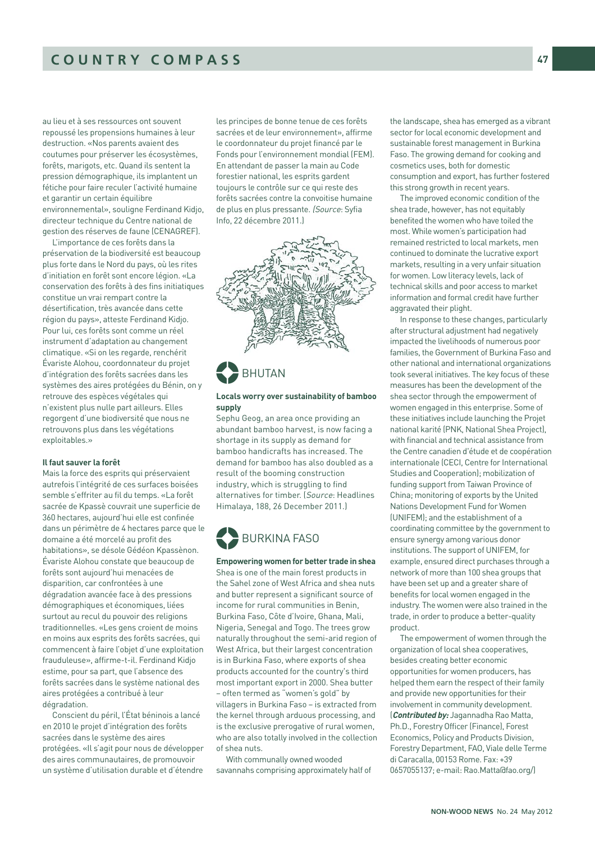au lieu et à ses ressources ont souvent repoussé les propensions humaines à leur destruction. «Nos parents avaient des coutumes pour préserver les écosystèmes, forêts, marigots, etc. Quand ils sentent la pression démographique, ils implantent un fétiche pour faire reculer l'activité humaine et garantir un certain équilibre environnemental», souligne Ferdinand Kidjo, directeur technique du Centre national de gestion des réserves de faune (CENAGREF).

L'importance de ces forêts dans la préservation de la biodiversité est beaucoup plus forte dans le Nord du pays, où les rites d'initiation en forêt sont encore légion. «La conservation des forêts à des fins initiatiques constitue un vrai rempart contre la désertification, très avancée dans cette région du pays», atteste Ferdinand Kidjo. Pour lui, ces forêts sont comme un réel instrument d'adaptation au changement climatique. «Si on les regarde, renchérit Évariste Alohou, coordonnateur du projet d'intégration des forêts sacrées dans les systèmes des aires protégées du Bénin, on y retrouve des espèces végétales qui n'existent plus nulle part ailleurs. Elles regorgent d'une biodiversité que nous ne retrouvons plus dans les végétations exploitables.»

#### **Il faut sauver la forêt**

Mais la force des esprits qui préservaient autrefois l'intégrité de ces surfaces boisées semble s'effriter au fil du temps. «La forêt sacrée de Kpassè couvrait une superficie de 360 hectares, aujourd'hui elle est confinée dans un périmètre de 4 hectares parce que le domaine a été morcelé au profit des habitations», se désole Gédéon Kpassènon. Évariste Alohou constate que beaucoup de forêts sont aujourd'hui menacées de disparition, car confrontées à une dégradation avancée face à des pressions démographiques et économiques, liées surtout au recul du pouvoir des religions traditionnelles. «Les gens croient de moins en moins aux esprits des forêts sacrées, qui commencent à faire l'objet d'une exploitation frauduleuse», affirme-t-il. Ferdinand Kidjo estime, pour sa part, que l'absence des forêts sacrées dans le système national des aires protégées a contribué à leur dégradation.

Conscient du péril, l'État béninois a lancé en 2010 le projet d'intégration des forêts sacrées dans le système des aires protégées. «Il s'agit pour nous de développer des aires communautaires, de promouvoir un système d'utilisation durable et d'étendre

les principes de bonne tenue de ces forêts sacrées et de leur environnement», affirme le coordonnateur du projet financé par le Fonds pour l'environnement mondial (FEM). En attendant de passer la main au Code forestier national, les esprits gardent toujours le contrôle sur ce qui reste des forêts sacrées contre la convoitise humaine de plus en plus pressante. (Source: Syfia Info, 22 décembre 2011.)



$$
\bigodot_{\text{BHUTAN}}
$$

#### **Locals worry over sustainability of bamboo supply**

Sephu Geog, an area once providing an abundant bamboo harvest, is now facing a shortage in its supply as demand for bamboo handicrafts has increased. The demand for bamboo has also doubled as a result of the booming construction industry, which is struggling to find alternatives for timber. (Source: Headlines Himalaya, 188, 26 December 2011.)



**Empowering women for better trade in shea**  Shea is one of the main forest products in the Sahel zone of West Africa and shea nuts and butter represent a significant source of income for rural communities in Benin, Burkina Faso, Côte d'Ivoire, Ghana, Mali, Nigeria, Senegal and Togo. The trees grow naturally throughout the semi-arid region of West Africa, but their largest concentration is in Burkina Faso, where exports of shea products accounted for the country's third most important export in 2000. Shea butter – often termed as "women's gold" by villagers in Burkina Faso – is extracted from the kernel through arduous processing, and is the exclusive prerogative of rural women, who are also totally involved in the collection of shea nuts.

With communally owned wooded savannahs comprising approximately half of the landscape, shea has emerged as a vibrant sector for local economic development and sustainable forest management in Burkina Faso. The growing demand for cooking and cosmetics uses, both for domestic consumption and export, has further fostered this strong growth in recent years.

The improved economic condition of the shea trade, however, has not equitably benefited the women who have toiled the most. While women's participation had remained restricted to local markets, men continued to dominate the lucrative export markets, resulting in a very unfair situation for women. Low literacy levels, lack of technical skills and poor access to market information and formal credit have further aggravated their plight.

In response to these changes, particularly after structural adjustment had negatively impacted the livelihoods of numerous poor families, the Government of Burkina Faso and other national and international organizations took several initiatives. The key focus of these measures has been the development of the shea sector through the empowerment of women engaged in this enterprise. Some of these initiatives include launching the Projet national karité (PNK, National Shea Project), with financial and technical assistance from the Centre canadien d'étude et de coopération internationale (CECI, Centre for International Studies and Cooperation); mobilization of funding support from Taiwan Province of China; monitoring of exports by the United Nations Development Fund for Women (UNIFEM); and the establishment of a coordinating committee by the government to ensure synergy among various donor institutions. The support of UNIFEM, for example, ensured direct purchases through a network of more than 100 shea groups that have been set up and a greater share of benefits for local women engaged in the industry. The women were also trained in the trade, in order to produce a better-quality product.

The empowerment of women through the organization of local shea cooperatives, besides creating better economic opportunities for women producers, has helped them earn the respect of their family and provide new opportunities for their involvement in community development. (**Contributed by:** Jagannadha Rao Matta, Ph.D., Forestry Officer (Finance), Forest Economics, Policy and Products Division, Forestry Department, FAO, Viale delle Terme di Caracalla, 00153 Rome. Fax: +39 0657055137; e-mail: Rao.Matta@fao.org/)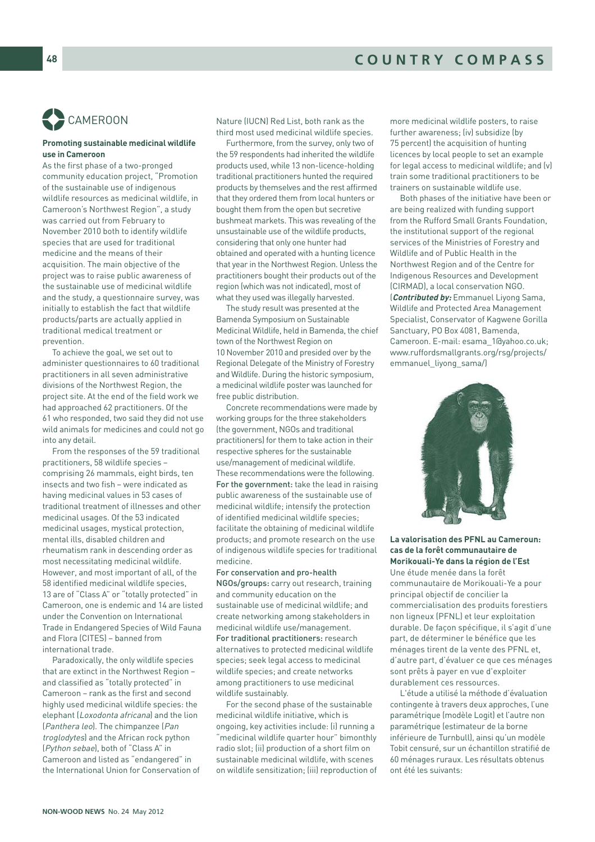# CAMEROON %

#### **Promoting sustainable medicinal wildlife use in Cameroon**

As the first phase of a two-pronged community education project, "Promotion of the sustainable use of indigenous wildlife resources as medicinal wildlife, in Cameroon's Northwest Region", a study was carried out from February to November 2010 both to identify wildlife species that are used for traditional medicine and the means of their acquisition. The main objective of the project was to raise public awareness of the sustainable use of medicinal wildlife and the study, a questionnaire survey, was initially to establish the fact that wildlife products/parts are actually applied in traditional medical treatment or prevention.

To achieve the goal, we set out to administer questionnaires to 60 traditional practitioners in all seven administrative divisions of the Northwest Region, the project site. At the end of the field work we had approached 62 practitioners. Of the 61 who responded, two said they did not use wild animals for medicines and could not go into any detail.

From the responses of the 59 traditional practitioners, 58 wildlife species – comprising 26 mammals, eight birds, ten insects and two fish – were indicated as having medicinal values in 53 cases of traditional treatment of illnesses and other medicinal usages. Of the 53 indicated medicinal usages, mystical protection, mental ills, disabled children and rheumatism rank in descending order as most necessitating medicinal wildlife. However, and most important of all, of the 58 identified medicinal wildlife species, 13 are of "Class A" or "totally protected" in Cameroon, one is endemic and 14 are listed under the Convention on International Trade in Endangered Species of Wild Fauna and Flora (CITES) – banned from international trade.

Paradoxically, the only wildlife species that are extinct in the Northwest Region – and classified as "totally protected" in Cameroon – rank as the first and second highly used medicinal wildlife species: the elephant (Loxodonta africana) and the lion (Panthera leo). The chimpanzee (Pan troglodytes) and the African rock python (Python sebae), both of "Class A" in Cameroon and listed as "endangered" in the International Union for Conservation of Nature (IUCN) Red List, both rank as the third most used medicinal wildlife species.

Furthermore, from the survey, only two of the 59 respondents had inherited the wildlife products used, while 13 non-licence-holding traditional practitioners hunted the required products by themselves and the rest affirmed that they ordered them from local hunters or bought them from the open but secretive bushmeat markets. This was revealing of the unsustainable use of the wildlife products, considering that only one hunter had obtained and operated with a hunting licence that year in the Northwest Region. Unless the practitioners bought their products out of the region (which was not indicated), most of what they used was illegally harvested.

The study result was presented at the Bamenda Symposium on Sustainable Medicinal Wildlife, held in Bamenda, the chief town of the Northwest Region on 10 November 2010 and presided over by the Regional Delegate of the Ministry of Forestry and Wildlife. During the historic symposium, a medicinal wildlife poster was launched for free public distribution.

Concrete recommendations were made by working groups for the three stakeholders (the government, NGOs and traditional practitioners) for them to take action in their respective spheres for the sustainable use/management of medicinal wildlife. These recommendations were the following. For the government: take the lead in raising public awareness of the sustainable use of medicinal wildlife; intensify the protection of identified medicinal wildlife species; facilitate the obtaining of medicinal wildlife products; and promote research on the use of indigenous wildlife species for traditional medicine.

For conservation and pro-health NGOs/groups: carry out research, training and community education on the sustainable use of medicinal wildlife; and create networking among stakeholders in medicinal wildlife use/management. For traditional practitioners: research alternatives to protected medicinal wildlife species; seek legal access to medicinal wildlife species; and create networks among practitioners to use medicinal wildlife sustainably.

For the second phase of the sustainable medicinal wildlife initiative, which is ongoing, key activities include: (i) running a "medicinal wildlife quarter hour" bimonthly radio slot; (ii) production of a short film on sustainable medicinal wildlife, with scenes on wildlife sensitization; (iii) reproduction of more medicinal wildlife posters, to raise further awareness; (iv) subsidize (by 75 percent) the acquisition of hunting licences by local people to set an example for legal access to medicinal wildlife; and (v) train some traditional practitioners to be trainers on sustainable wildlife use.

Both phases of the initiative have been or are being realized with funding support from the Rufford Small Grants Foundation, the institutional support of the regional services of the Ministries of Forestry and Wildlife and of Public Health in the Northwest Region and of the Centre for Indigenous Resources and Development (CIRMAD), a local conservation NGO. (**Contributed by:** Emmanuel Liyong Sama, Wildlife and Protected Area Management Specialist, Conservator of Kagwene Gorilla Sanctuary, PO Box 4081, Bamenda, Cameroon. E-mail: esama\_1@yahoo.co.uk; www.ruffordsmallgrants.org/rsg/projects/ emmanuel\_liyong\_sama/)



**La valorisation des PFNL au Cameroun: cas de la forêt communautaire de Morikouali-Ye dans la région de l'Est** Une étude menée dans la forêt communautaire de Morikouali-Ye a pour principal objectif de concilier la commercialisation des produits forestiers non ligneux (PFNL) et leur exploitation durable. De façon spécifique, il s'agit d'une part, de déterminer le bénéfice que les ménages tirent de la vente des PFNL et, d'autre part, d'évaluer ce que ces ménages sont prêts à payer en vue d'exploiter durablement ces ressources.

L'étude a utilisé la méthode d'évaluation contingente à travers deux approches, l'une paramétrique (modèle Logit) et l'autre non paramétrique (estimateur de la borne inférieure de Turnbull), ainsi qu'un modèle Tobit censuré, sur un échantillon stratifié de 60 ménages ruraux. Les résultats obtenus ont été les suivants: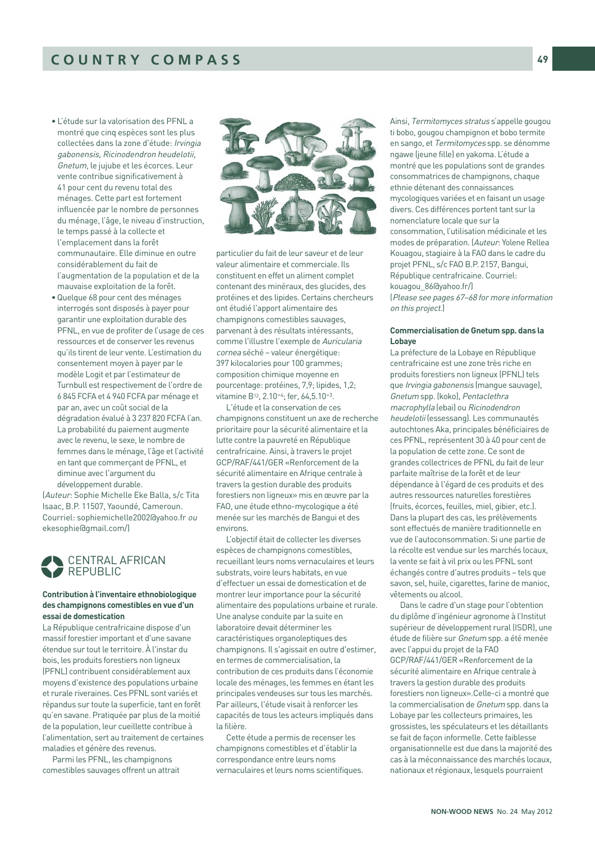- L'étude sur la valorisation des PFNL a montré que cinq espèces sont les plus collectées dans la zone d'étude: Irvingia gabonensis, Ricinodendron heudelotii, Gnetum, le jujube et les écorces. Leur vente contribue significativement à 41 pour cent du revenu total des ménages. Cette part est fortement influencée par le nombre de personnes du ménage, l'âge, le niveau d'instruction, le temps passé à la collecte et l'emplacement dans la forêt communautaire. Elle diminue en outre considérablement du fait de l'augmentation de la population et de la mauvaise exploitation de la forêt.
- Quelque 68 pour cent des ménages interrogés sont disposés à payer pour garantir une exploitation durable des PFNL, en vue de profiter de l'usage de ces ressources et de conserver les revenus qu'ils tirent de leur vente. L'estimation du consentement moyen à payer par le modèle Logit et par l'estimateur de Turnbull est respectivement de l'ordre de 6 845 FCFA et 4 940 FCFA par ménage et par an, avec un coût social de la dégradation évalué à 3 237 820 FCFA l'an. La probabilité du paiement augmente avec le revenu, le sexe, le nombre de femmes dans le ménage, l'âge et l'activité en tant que commerçant de PFNL, et diminue avec l'argument du développement durable.

(Auteur: Sophie Michelle Eke Balla, s/c Tita Isaac, B.P. 11507, Yaoundé, Cameroun. Courriel: sophiemichelle2002@yahoo.fr ou ekesophie@gmail.com/)



#### **Contribution à l'inventaire ethnobiologique des champignons comestibles en vue d'un essai de domestication**

La République centrafricaine dispose d'un massif forestier important et d'une savane étendue sur tout le territoire. À l'instar du bois, les produits forestiers non ligneux (PFNL) contribuent considérablement aux moyens d'existence des populations urbaine et rurale riveraines. Ces PFNL sont variés et répandus sur toute la superficie, tant en forêt qu'en savane. Pratiquée par plus de la moitié de la population, leur cueillette contribue à l'alimentation, sert au traitement de certaines maladies et génère des revenus.

Parmi les PFNL, les champignons comestibles sauvages offrent un attrait



particulier du fait de leur saveur et de leur valeur alimentaire et commerciale. Ils constituent en effet un aliment complet contenant des minéraux, des glucides, des protéines et des lipides. Certains chercheurs ont étudié l'apport alimentaire des champignons comestibles sauvages, parvenant à des résultats intéressants, comme l'illustre l'exemple de Auricularia cornea séché – valeur énergétique: 397 kilocalories pour 100 grammes; composition chimique moyenne en pourcentage: protéines, 7,9; lipides, 1,2; vitamine B12, 2.10-4; fer, 64,5.10-3.

L'étude et la conservation de ces champignons constituent un axe de recherche prioritaire pour la sécurité alimentaire et la lutte contre la pauvreté en République centrafricaine. Ainsi, à travers le projet GCP/RAF/441/GER «Renforcement de la sécurité alimentaire en Afrique centrale à travers la gestion durable des produits forestiers non ligneux» mis en œuvre par la FAO, une étude ethno-mycologique a été menée sur les marchés de Bangui et des environs.

L'objectif était de collecter les diverses espèces de champignons comestibles, recueillant leurs noms vernaculaires et leurs substrats, voire leurs habitats, en vue d'effectuer un essai de domestication et de montrer leur importance pour la sécurité alimentaire des populations urbaine et rurale. Une analyse conduite par la suite en laboratoire devait déterminer les caractéristiques organoleptiques des champignons. Il s'agissait en outre d'estimer, en termes de commercialisation, la contribution de ces produits dans l'économie locale des ménages, les femmes en étant les principales vendeuses sur tous les marchés. Par ailleurs, l'étude visait à renforcer les capacités de tous les acteurs impliqués dans la filière.

Cette étude a permis de recenser les champignons comestibles et d'établir la correspondance entre leurs noms vernaculaires et leurs noms scientifiques.

Ainsi, Termitomyces stratus s'appelle gougou ti bobo, gougou champignon et bobo termite en sango, et Termitomyces spp. se dénomme ngawe (jeune fille) en yakoma. L'étude a montré que les populations sont de grandes consommatrices de champignons, chaque ethnie détenant des connaissances mycologiques variées et en faisant un usage divers. Ces différences portent tant sur la nomenclature locale que sur la consommation, l'utilisation médicinale et les modes de préparation. (Auteur: Yolene Rellea Kouagou, stagiaire à la FAO dans le cadre du projet PFNL, s/c FAO B.P. 2157, Bangui, République centrafricaine. Courriel: kouagou\_86@yahoo.fr/) (Please see pages 67–68 for more information on this project.)

#### **Commercialisation de Gnetum spp. dans la Lobaye**

La préfecture de la Lobaye en République centrafricaine est une zone très riche en produits forestiers non ligneux (PFNL) tels que Irvingia gabonensis (mangue sauvage), Gnetum spp. (koko), Pentaclethra macrophylla (ebai) ou Ricinodendron heudelotii (essessang). Les communautés autochtones Aka, principales bénéficiaires de ces PFNL, représentent 30 à 40 pour cent de la population de cette zone. Ce sont de grandes collectrices de PFNL du fait de leur parfaite maîtrise de la forêt et de leur dépendance à l'égard de ces produits et des autres ressources naturelles forestières (fruits, écorces, feuilles, miel, gibier, etc.). Dans la plupart des cas, les prélèvements sont effectués de manière traditionnelle en vue de l'autoconsommation. Si une partie de la récolte est vendue sur les marchés locaux, la vente se fait à vil prix ou les PFNL sont échangés contre d'autres produits – tels que savon, sel, huile, cigarettes, farine de manioc, vêtements ou alcool.

Dans le cadre d'un stage pour l'obtention du diplôme d'ingénieur agronome à l'Institut supérieur de développement rural (ISDR), une étude de filière sur Gnetum spp. a été menée avec l'appui du projet de la FAO GCP/RAF/441/GER «Renforcement de la sécurité alimentaire en Afrique centrale à travers la gestion durable des produits forestiers non ligneux».Celle-ci a montré que la commercialisation de Gnetum spp. dans la Lobaye par les collecteurs primaires, les grossistes, les spéculateurs et les détaillants se fait de façon informelle. Cette faiblesse organisationnelle est due dans la majorité des cas à la méconnaissance des marchés locaux, nationaux et régionaux, lesquels pourraient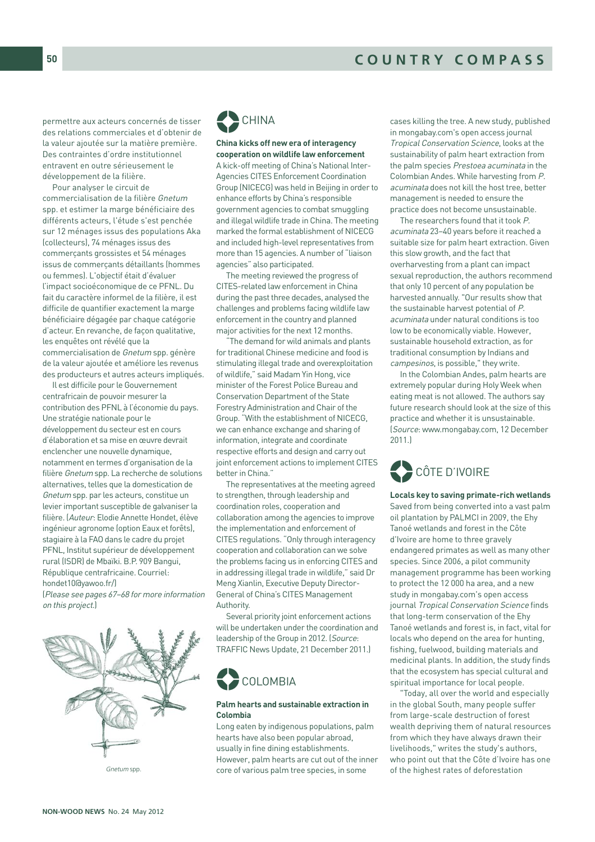permettre aux acteurs concernés de tisser des relations commerciales et d'obtenir de la valeur ajoutée sur la matière première. Des contraintes d'ordre institutionnel entravent en outre sérieusement le développement de la filière.

Pour analyser le circuit de commercialisation de la filière Gnetum spp. et estimer la marge bénéficiaire des différents acteurs, l'étude s'est penchée sur 12 ménages issus des populations Aka (collecteurs), 74 ménages issus des commerçants grossistes et 54 ménages issus de commerçants détaillants (hommes ou femmes). L'objectif était d'évaluer l'impact socioéconomique de ce PFNL. Du fait du caractère informel de la filière, il est difficile de quantifier exactement la marge bénéficiaire dégagée par chaque catégorie d'acteur. En revanche, de façon qualitative, les enquêtes ont révélé que la commercialisation de Gnetum spp. génère de la valeur ajoutée et améliore les revenus des producteurs et autres acteurs impliqués.

Il est difficile pour le Gouvernement centrafricain de pouvoir mesurer la contribution des PFNL à l'économie du pays. Une stratégie nationale pour le développement du secteur est en cours d'élaboration et sa mise en œuvre devrait enclencher une nouvelle dynamique, notamment en termes d'organisation de la filière Gnetum spp. La recherche de solutions alternatives, telles que la domestication de Gnetum spp. par les acteurs, constitue un levier important susceptible de galvaniser la filière. (Auteur: Elodie Annette Hondet, élève ingénieur agronome (option Eaux et forêts), stagiaire à la FAO dans le cadre du projet PFNL, Institut supérieur de développement rural (ISDR) de Mbaïki. B.P. 909 Bangui, République centrafricaine. Courriel: hondet10@yawoo.fr/)

(Please see pages 67–68 for more information on this project.)



Gnetum spp.



#### **China kicks off new era of interagency cooperation on wildlife law enforcement**

A kick-off meeting of China's National Inter-Agencies CITES Enforcement Coordination Group (NICECG) was held in Beijing in order to enhance efforts by China's responsible government agencies to combat smuggling and illegal wildlife trade in China. The meeting marked the formal establishment of NICECG and included high-level representatives from more than 15 agencies. A number of "liaison agencies" also participated.

The meeting reviewed the progress of CITES-related law enforcement in China during the past three decades, analysed the challenges and problems facing wildlife law enforcement in the country and planned major activities for the next 12 months.

"The demand for wild animals and plants for traditional Chinese medicine and food is stimulating illegal trade and overexploitation of wildlife," said Madam Yin Hong, vice minister of the Forest Police Bureau and Conservation Department of the State Forestry Administration and Chair of the Group. "With the establishment of NICECG, we can enhance exchange and sharing of information, integrate and coordinate respective efforts and design and carry out joint enforcement actions to implement CITES better in China."

The representatives at the meeting agreed to strengthen, through leadership and coordination roles, cooperation and collaboration among the agencies to improve the implementation and enforcement of CITES regulations. "Only through interagency cooperation and collaboration can we solve the problems facing us in enforcing CITES and in addressing illegal trade in wildlife," said Dr Meng Xianlin, Executive Deputy Director-General of China's CITES Management Authority.

Several priority joint enforcement actions will be undertaken under the coordination and leadership of the Group in 2012. (Source: TRAFFIC News Update, 21 December 2011.)



#### **Palm hearts and sustainable extraction in Colombia**

Long eaten by indigenous populations, palm hearts have also been popular abroad, usually in fine dining establishments. However, palm hearts are cut out of the inner core of various palm tree species, in some

cases killing the tree. A new study, published in mongabay.com's open access journal Tropical Conservation Science, looks at the sustainability of palm heart extraction from the palm species Prestoea acuminata in the Colombian Andes. While harvesting from P. acuminata does not kill the host tree, better management is needed to ensure the practice does not become unsustainable.

The researchers found that it took P. acuminata 23–40 years before it reached a suitable size for palm heart extraction. Given this slow growth, and the fact that overharvesting from a plant can impact sexual reproduction, the authors recommend that only 10 percent of any population be harvested annually. "Our results show that the sustainable harvest potential of P. acuminata under natural conditions is too low to be economically viable. However, sustainable household extraction, as for traditional consumption by Indians and campesinos, is possible," they write.

In the Colombian Andes, palm hearts are extremely popular during Holy Week when eating meat is not allowed. The authors say future research should look at the size of this practice and whether it is unsustainable. (Source: www.mongabay.com, 12 December 2011.)



**Locals key to saving primate-rich wetlands**  Saved from being converted into a vast palm oil plantation by PALMCI in 2009, the Ehy Tanoé wetlands and forest in the Côte d'Ivoire are home to three gravely endangered primates as well as many other species. Since 2006, a pilot community management programme has been working to protect the 12 000 ha area, and a new study in mongabay.com's open access journal Tropical Conservation Science finds that long-term conservation of the Ehy Tanoé wetlands and forest is, in fact, vital for locals who depend on the area for hunting, fishing, fuelwood, building materials and medicinal plants. In addition, the study finds that the ecosystem has special cultural and spiritual importance for local people.

"Today, all over the world and especially in the global South, many people suffer from large-scale destruction of forest wealth depriving them of natural resources from which they have always drawn their livelihoods," writes the study's authors, who point out that the Côte d'Ivoire has one of the highest rates of deforestation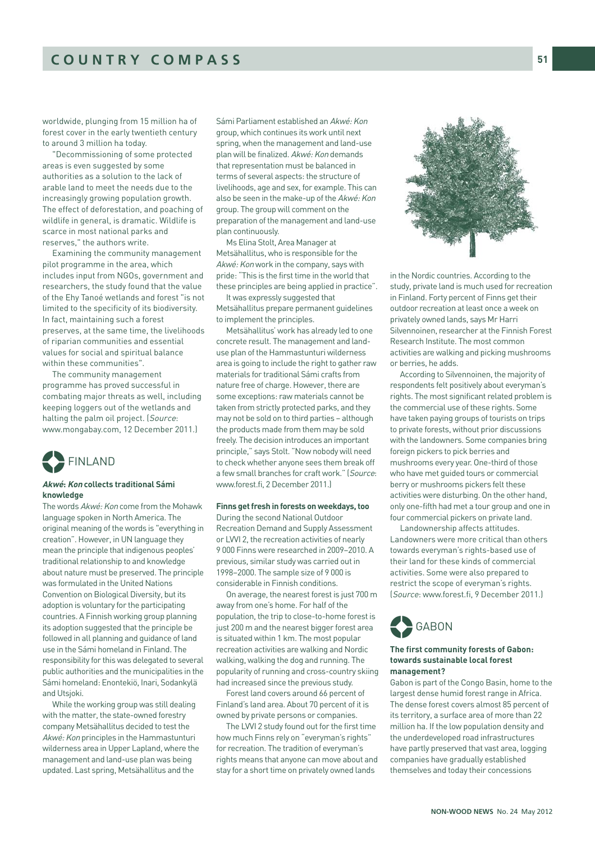worldwide, plunging from 15 million ha of forest cover in the early twentieth century to around 3 million ha today.

"Decommissioning of some protected areas is even suggested by some authorities as a solution to the lack of arable land to meet the needs due to the increasingly growing population growth. The effect of deforestation, and poaching of wildlife in general, is dramatic. Wildlife is scarce in most national parks and reserves," the authors write.

Examining the community management pilot programme in the area, which includes input from NGOs, government and researchers, the study found that the value of the Ehy Tanoé wetlands and forest "is not limited to the specificity of its biodiversity. In fact, maintaining such a forest preserves, at the same time, the livelihoods of riparian communities and essential values for social and spiritual balance within these communities".

The community management programme has proved successful in combating major threats as well, including keeping loggers out of the wetlands and halting the palm oil project. (Source: www.mongabay.com, 12 December 2011.)



#### **Akwé: Kon collects traditional Sámi knowledge**

The words Akwé: Kon come from the Mohawk language spoken in North America. The original meaning of the words is "everything in creation". However, in UN language they mean the principle that indigenous peoples' traditional relationship to and knowledge about nature must be preserved. The principle was formulated in the United Nations Convention on Biological Diversity, but its adoption is voluntary for the participating countries. A Finnish working group planning its adoption suggested that the principle be followed in all planning and guidance of land use in the Sámi homeland in Finland. The responsibility for this was delegated to several public authorities and the municipalities in the Sámi homeland: Enontekiö, Inari, Sodankylä and Utsjoki.

While the working group was still dealing with the matter, the state-owned forestry company Metsähallitus decided to test the Akwé: Kon principles in the Hammastunturi wilderness area in Upper Lapland, where the management and land-use plan was being updated. Last spring, Metsähallitus and the

Sámi Parliament established an Akwé: Kon group, which continues its work until next spring, when the management and land-use plan will be finalized. Akwé: Kon demands that representation must be balanced in terms of several aspects: the structure of livelihoods, age and sex, for example. This can also be seen in the make-up of the Akwé: Kon group. The group will comment on the preparation of the management and land-use plan continuously.

Ms Elina Stolt, Area Manager at Metsähallitus, who is responsible for the Akwé: Kon work in the company, says with pride: "This is the first time in the world that these principles are being applied in practice".

It was expressly suggested that Metsähallitus prepare permanent guidelines to implement the principles.

Metsähallitus' work has already led to one concrete result. The management and landuse plan of the Hammastunturi wilderness area is going to include the right to gather raw materials for traditional Sámi crafts from nature free of charge. However, there are some exceptions: raw materials cannot be taken from strictly protected parks, and they may not be sold on to third parties – although the products made from them may be sold freely. The decision introduces an important principle," says Stolt. "Now nobody will need to check whether anyone sees them break off a few small branches for craft work." (Source: www.forest.fi, 2 December 2011.)

#### **Finns get fresh in forests on weekdays, too**

During the second National Outdoor Recreation Demand and Supply Assessment or LVVI 2, the recreation activities of nearly 9 000 Finns were researched in 2009–2010. A previous, similar study was carried out in 1998–2000. The sample size of 9 000 is considerable in Finnish conditions.

On average, the nearest forest is just 700 m away from one's home. For half of the population, the trip to close-to-home forest is just 200 m and the nearest bigger forest area is situated within 1 km. The most popular recreation activities are walking and Nordic walking, walking the dog and running. The popularity of running and cross-country skiing had increased since the previous study.

Forest land covers around 66 percent of Finland's land area. About 70 percent of it is owned by private persons or companies.

The LVVI 2 study found out for the first time how much Finns rely on "everyman's rights' for recreation. The tradition of everyman's rights means that anyone can move about and stay for a short time on privately owned lands



in the Nordic countries. According to the study, private land is much used for recreation in Finland. Forty percent of Finns get their outdoor recreation at least once a week on privately owned lands, says Mr Harri Silvennoinen, researcher at the Finnish Forest Research Institute. The most common activities are walking and picking mushrooms or berries, he adds.

According to Silvennoinen, the majority of respondents felt positively about everyman's rights. The most significant related problem is the commercial use of these rights. Some have taken paying groups of tourists on trips to private forests, without prior discussions with the landowners. Some companies bring foreign pickers to pick berries and mushrooms every year. One-third of those who have met guided tours or commercial berry or mushrooms pickers felt these activities were disturbing. On the other hand, only one-fifth had met a tour group and one in four commercial pickers on private land.

Landownership affects attitudes. Landowners were more critical than others towards everyman's rights-based use of their land for these kinds of commercial activities. Some were also prepared to restrict the scope of everyman's rights. (Source: www.forest.fi, 9 December 2011.)

# **GABON** %

#### **The first community forests of Gabon: towards sustainable local forest management?**

Gabon is part of the Congo Basin, home to the largest dense humid forest range in Africa. The dense forest covers almost 85 percent of its territory, a surface area of more than 22 million ha. If the low population density and the underdeveloped road infrastructures have partly preserved that vast area, logging companies have gradually established themselves and today their concessions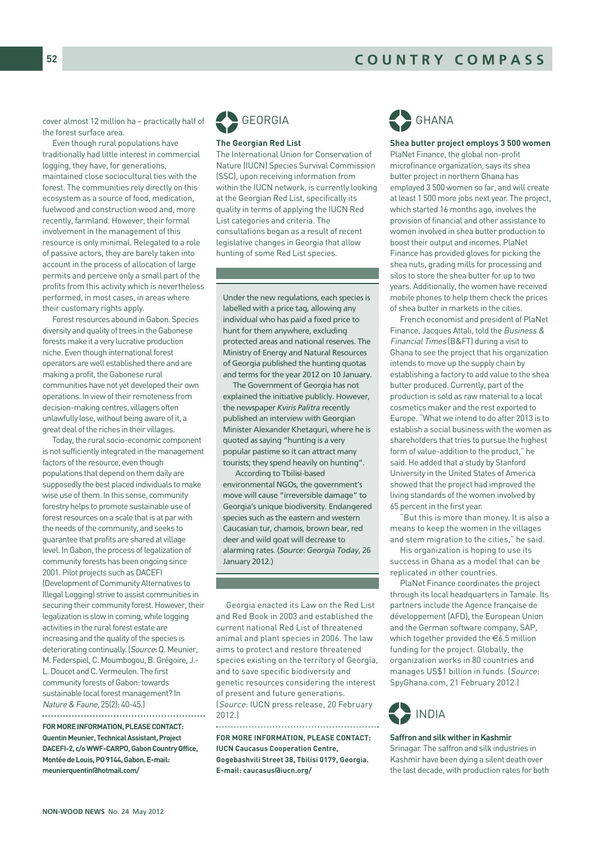cover almost 12 million ha – practically half of the forest surface area.

Even though rural populations have traditionally had little interest in commercial logging, they have, for generations, maintained close sociocultural ties with the forest. The communities rely directly on this ecosystem as a source of food, medication, fuelwood and construction wood and, more recently, farmland. However, their formal involvement in the management of this resource is only minimal. Relegated to a role of passive actors, they are barely taken into account in the process of allocation of large permits and perceive only a small part of the profits from this activity which is nevertheless performed, in most cases, in areas where their customary rights apply.

Forest resources abound in Gabon. Species diversity and quality of trees in the Gabonese forests make it a very lucrative production niche. Even though international forest operators are well established there and are making a profit, the Gabonese rural communities have not yet developed their own operations. In view of their remoteness from decision-making centres, villagers often unlawfully lose, without being aware of it, a great deal of the riches in their villages.

Today, the rural socio-economic component is not sufficiently integrated in the management factors of the resource, even though populations that depend on them daily are supposedly the best placed individuals to make wise use of them. In this sense, community forestry helps to promote sustainable use of forest resources on a scale that is at par with the needs of the community, and seeks to guarantee that profits are shared at village level. In Gabon, the process of legalization of community forests has been ongoing since 2001. Pilot projects such as DACEFI (Development of Community Alternatives to Illegal Logging) strive to assist communities in securing their community forest. However, their legalization is slow in coming, while logging activities in the rural forest estate are increasing and the quality of the species is deteriorating continually. (Source: Q. Meunier, M. Federspiel, C. Moumbogou, B. Grégoire, J.- L. Doucet and C. Vermeulen. The first community forests of Gabon: towards sustainable local forest management? In Nature & Faune, 25(2): 40-45.) 

**FOR MORE INFORMATION, PLEASE CONTACT: Quentin Meunier, Technical Assistant, Project DACEFI-2, c/o WWF-CARPO, Gabon Country Office, Montée de Louis, PO 9144, Gabon. E-mail: meunierquentin@hotmail.com/**



#### **The Georgian Red List**

The International Union for Conservation of Nature (IUCN) Species Survival Commission (SSC), upon receiving information from within the IUCN network, is currently looking at the Georgian Red List, specifically its quality in terms of applying the IUCN Red List categories and criteria. The consultations began as a result of recent legislative changes in Georgia that allow hunting of some Red List species.

Under the new regulations, each species is labelled with a price tag, allowing any individual who has paid a fixed price to hunt for them anywhere, excluding protected areas and national reserves. The Ministry of Energy and Natural Resources of Georgia published the hunting quotas and terms for the year 2012 on 10 January.

The Government of Georgia has not explained the initiative publicly. However, the newspaper *Kviris Palitra* recently published an interview with Georgian Minister Alexander Khetaguri, where he is quoted as saying "hunting is a very popular pastime so it can attract many tourists; they spend heavily on hunting".

According to Tbilisi-based environmental NGOs, the government's move will cause "irreversible damage" to Georgia's unique biodiversity. Endangered species such as the eastern and western Caucasian tur, chamois, brown bear, red deer and wild goat will decrease to alarming rates. (*Source*: *Georgia Today*, 26 January 2012.)

Georgia enacted its Law on the Red List and Red Book in 2003 and established the current national Red List of threatened animal and plant species in 2006. The law aims to protect and restore threatened species existing on the territory of Georgia, and to save specific biodiversity and genetic resources considering the interest of present and future generations. (Source: IUCN press release, 20 February 2012.) 

**FOR MORE INFORMATION, PLEASE CONTACT: IUCN Caucasus Cooperation Centre, Gogebashvili Street 38, Tbilisi 0179, Georgia. E-mail: caucasus@iucn.org/**



**Shea butter project employs 3 500 women**  PlaNet Finance, the global non-profit microfinance organization, says its shea butter project in northern Ghana has employed 3 500 women so far, and will create at least 1 500 more jobs next year. The project, which started 16 months ago, involves the provision of financial and other assistance to women involved in shea butter production to boost their output and incomes. PlaNet Finance has provided gloves for picking the shea nuts, grading mills for processing and silos to store the shea butter for up to two years. Additionally, the women have received mobile phones to help them check the prices of shea butter in markets in the cities.

French economist and president of PlaNet Finance, Jacques Attali, told the Business & Financial Times (B&FT) during a visit to Ghana to see the project that his organization intends to move up the supply chain by establishing a factory to add value to the shea butter produced. Currently, part of the production is sold as raw material to a local cosmetics maker and the rest exported to Europe. "What we intend to do after 2013 is to establish a social business with the women as shareholders that tries to pursue the highest form of value-addition to the product," he said. He added that a study by Stanford University in the United States of America showed that the project had improved the living standards of the women involved by 65 percent in the first year.

"But this is more than money. It is also a means to keep the women in the villages and stem migration to the cities," he said.

His organization is hoping to use its success in Ghana as a model that can be replicated in other countries.

PlaNet Finance coordinates the project through its local headquarters in Tamale. Its partners include the Agence franςaise de développement (AFD), the European Union and the German software company, SAP, which together provided the €6.5 million funding for the project. Globally, the organization works in 80 countries and manages US\$1 billion in funds. (Source: SpyGhana.com, 21 February 2012.)



#### **Saffron and silk wither in Kashmir**  Srinagar. The saffron and silk industries in Kashmir have been dying a silent death over the last decade, with production rates for both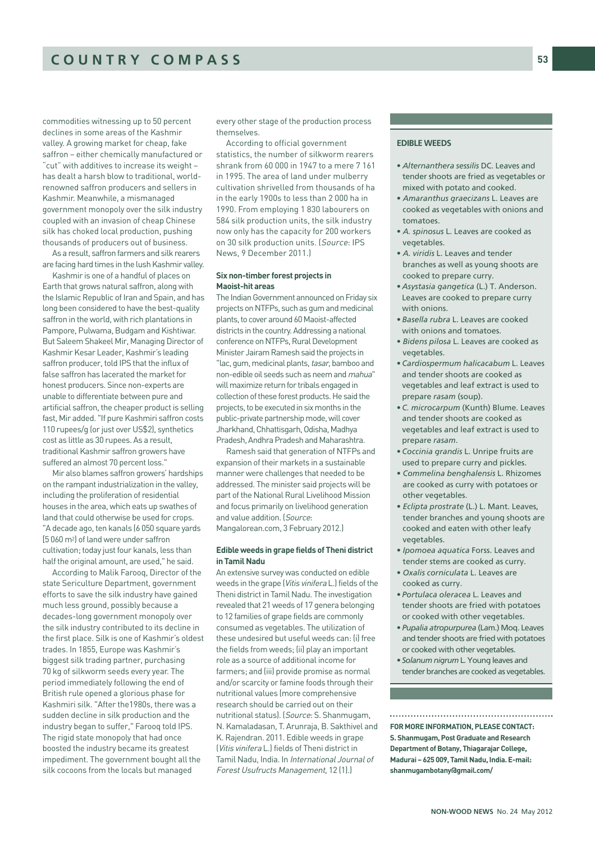commodities witnessing up to 50 percent declines in some areas of the Kashmir valley. A growing market for cheap, fake saffron – either chemically manufactured or "cut" with additives to increase its weight – has dealt a harsh blow to traditional, worldrenowned saffron producers and sellers in Kashmir. Meanwhile, a mismanaged government monopoly over the silk industry coupled with an invasion of cheap Chinese silk has choked local production, pushing thousands of producers out of business.

As a result, saffron farmers and silk rearers are facing hard times in the lush Kashmir valley.

Kashmir is one of a handful of places on Earth that grows natural saffron, along with the Islamic Republic of Iran and Spain, and has long been considered to have the best-quality saffron in the world, with rich plantations in Pampore, Pulwama, Budgam and Kishtiwar. But Saleem Shakeel Mir, Managing Director of Kashmir Kesar Leader, Kashmir's leading saffron producer, told IPS that the influx of false saffron has lacerated the market for honest producers. Since non-experts are unable to differentiate between pure and artificial saffron, the cheaper product is selling fast, Mir added. "If pure Kashmiri saffron costs 110 rupees/g (or just over US\$2), synthetics cost as little as 30 rupees. As a result, traditional Kashmir saffron growers have suffered an almost 70 percent loss."

Mir also blames saffron growers' hardships on the rampant industrialization in the valley, including the proliferation of residential houses in the area, which eats up swathes of land that could otherwise be used for crops. "A decade ago, ten kanals (6 050 square yards [5 060 m2) of land were under saffron cultivation; today just four kanals, less than half the original amount, are used," he said.

According to Malik Farooq, Director of the state Sericulture Department, government efforts to save the silk industry have gained much less ground, possibly because a decades-long government monopoly over the silk industry contributed to its decline in the first place. Silk is one of Kashmir's oldest trades. In 1855, Europe was Kashmir's biggest silk trading partner, purchasing 70 kg of silkworm seeds every year. The period immediately following the end of British rule opened a glorious phase for Kashmiri silk. "After the1980s, there was a sudden decline in silk production and the industry began to suffer," Farooq told IPS. The rigid state monopoly that had once boosted the industry became its greatest impediment. The government bought all the silk cocoons from the locals but managed

every other stage of the production process themselves.

According to official government statistics, the number of silkworm rearers shrank from 60 000 in 1947 to a mere 7 161 in 1995. The area of land under mulberry cultivation shrivelled from thousands of ha in the early 1900s to less than 2 000 ha in 1990. From employing 1 830 labourers on 584 silk production units, the silk industry now only has the capacity for 200 workers on 30 silk production units. (Source: IPS News, 9 December 2011.)

#### **Six non-timber forest projects in Maoist-hit areas**

The Indian Government announced on Friday six projects on NTFPs, such as gum and medicinal plants, to cover around 60 Maoist-affected districts in the country. Addressing a national conference on NTFPs, Rural Development Minister Jairam Ramesh said the projects in "lac, gum, medicinal plants, tasar, bamboo and non-edible oil seeds such as neem and mahua" will maximize return for tribals engaged in collection of these forest products. He said the projects, to be executed in six months in the public-private partnership mode, will cover Jharkhand, Chhattisgarh, Odisha, Madhya Pradesh, Andhra Pradesh and Maharashtra.

Ramesh said that generation of NTFPs and expansion of their markets in a sustainable manner were challenges that needed to be addressed. The minister said projects will be part of the National Rural Livelihood Mission and focus primarily on livelihood generation and value addition. (Source: Mangalorean.com, 3 February 2012.)

#### **Edible weeds in grape fields of Theni district in Tamil Nadu**

An extensive survey was conducted on edible weeds in the grape (Vitis vinifera L.) fields of the Theni district in Tamil Nadu. The investigation revealed that 21 weeds of 17 genera belonging to 12 families of grape fields are commonly consumed as vegetables. The utilization of these undesired but useful weeds can: (i) free the fields from weeds; (ii) play an important role as a source of additional income for farmers; and (iii) provide promise as normal and/or scarcity or famine foods through their nutritional values (more comprehensive research should be carried out on their nutritional status). (Source: S. Shanmugam, N. Kamaladasan, T. Arunraja, B. Sakthivel and K. Rajendran. 2011. Edible weeds in grape (Vitis vinifera L.) fields of Theni district in Tamil Nadu, India. In International Journal of Forest Usufructs Management, 12 (1).)

#### EDIBLE WEEDS

- *Alternanthera sessilis* DC. Leaves and tender shoots are fried as vegetables or mixed with potato and cooked.
- *Amaranthus graecizans* L. Leaves are cooked as vegetables with onions and tomatoes.
- *A. spinosus* L. Leaves are cooked as vegetables.
- *A. viridis* L. Leaves and tender branches as well as young shoots are cooked to prepare curry.
- *Asystasia gangetica* (L.) T. Anderson. Leaves are cooked to prepare curry with onions.
- *Basella rubra* L. Leaves are cooked with onions and tomatoes.
- *Bidens pilosa* L. Leaves are cooked as vegetables.
- *Cardiospermum halicacabum* L. Leaves and tender shoots are cooked as vegetables and leaf extract is used to prepare *rasam* (soup).
- *C. microcarpum* (Kunth) Blume. Leaves and tender shoots are cooked as vegetables and leaf extract is used to prepare *rasam*.
- *Coccinia grandis* L. Unripe fruits are used to prepare curry and pickles.
- *Commelina benghalensis* L. Rhizomes are cooked as curry with potatoes or other vegetables.
- *Eclipta prostrate* (L.) L. Mant. Leaves, tender branches and young shoots are cooked and eaten with other leafy vegetables.
- *Ipomoea aquatica* Forss. Leaves and tender stems are cooked as curry.
- *Oxalis corniculata* L. Leaves are cooked as curry.
- *Portulaca oleracea* L. Leaves and tender shoots are fried with potatoes or cooked with other vegetables.
- *Pupalia atropurpurea* (Lam.) Moq. Leaves and tender shoots are fried with potatoes or cooked with other vegetables.
- *Solanum nigrum* L. Young leaves and tender branches are cooked as vegetables.

**FOR MORE INFORMATION, PLEASE CONTACT: S. Shanmugam, Post Graduate and Research Department of Botany, Thiagarajar College, Madurai – 625 009, Tamil Nadu, India. E-mail: shanmugambotany@gmail.com/**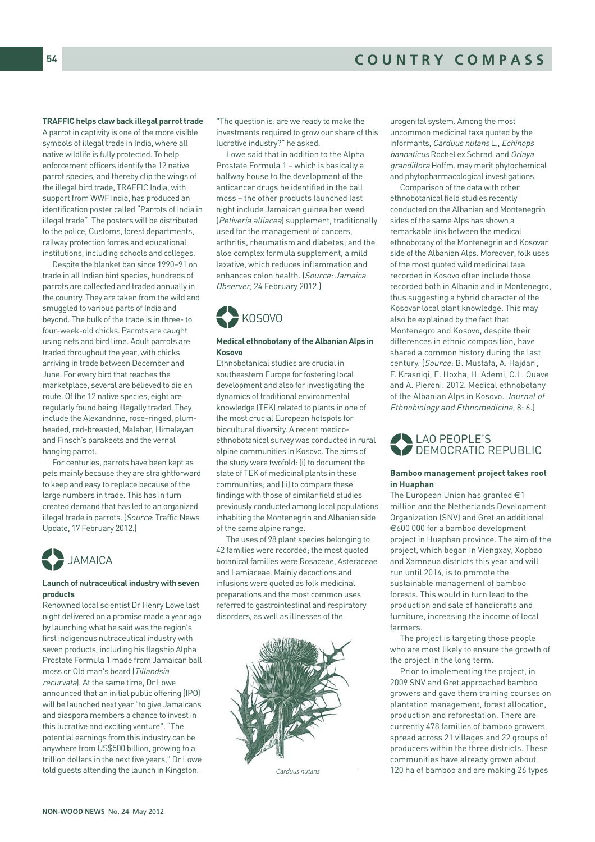# COUNTRY COMPASS

#### **TRAFFIC helps claw back illegal parrot trade**

A parrot in captivity is one of the more visible symbols of illegal trade in India, where all native wildlife is fully protected. To help enforcement officers identify the 12 native parrot species, and thereby clip the wings of the illegal bird trade, TRAFFIC India, with support from WWF India, has produced an identification poster called "Parrots of India in illegal trade". The posters will be distributed to the police, Customs, forest departments, railway protection forces and educational institutions, including schools and colleges.

Despite the blanket ban since 1990–91 on trade in all Indian bird species, hundreds of parrots are collected and traded annually in the country. They are taken from the wild and smuggled to various parts of India and beyond. The bulk of the trade is in three- to four-week-old chicks. Parrots are caught using nets and bird lime. Adult parrots are traded throughout the year, with chicks arriving in trade between December and June. For every bird that reaches the marketplace, several are believed to die en route. Of the 12 native species, eight are regularly found being illegally traded. They include the Alexandrine, rose-ringed, plumheaded, red-breasted, Malabar, Himalayan and Finsch's parakeets and the vernal hanging parrot.

For centuries, parrots have been kept as pets mainly because they are straightforward to keep and easy to replace because of the large numbers in trade. This has in turn created demand that has led to an organized illegal trade in parrots. (Source: Traffic News Update, 17 February 2012.)



#### **Launch of nutraceutical industry with seven products**

Renowned local scientist Dr Henry Lowe last night delivered on a promise made a year ago by launching what he said was the region's first indigenous nutraceutical industry with seven products, including his flagship Alpha Prostate Formula 1 made from Jamaican ball moss or Old man's beard (Tillandsia recurvata). At the same time, Dr Lowe announced that an initial public offering (IPO) will be launched next year "to give Jamaicans and diaspora members a chance to invest in this lucrative and exciting venture". "The potential earnings from this industry can be anywhere from US\$500 billion, growing to a trillion dollars in the next five years," Dr Lowe told guests attending the launch in Kingston.

"The question is: are we ready to make the investments required to grow our share of this lucrative industry?" he asked.

Lowe said that in addition to the Alpha Prostate Formula 1 – which is basically a halfway house to the development of the anticancer drugs he identified in the ball moss – the other products launched last night include Jamaican guinea hen weed (Petiveria alliacea) supplement, traditionally used for the management of cancers, arthritis, rheumatism and diabetes; and the aloe complex formula supplement, a mild laxative, which reduces inflammation and enhances colon health. (Source: Jamaica Observer, 24 February 2012.)



#### **Medical ethnobotany of the Albanian Alps in Kosovo**

Ethnobotanical studies are crucial in southeastern Europe for fostering local development and also for investigating the dynamics of traditional environmental knowledge (TEK) related to plants in one of the most crucial European hotspots for biocultural diversity. A recent medicoethnobotanical survey was conducted in rural alpine communities in Kosovo. The aims of the study were twofold: (i) to document the state of TEK of medicinal plants in these communities; and (ii) to compare these findings with those of similar field studies previously conducted among local populations inhabiting the Montenegrin and Albanian side of the same alpine range.

The uses of 98 plant species belonging to 42 families were recorded; the most quoted botanical families were Rosaceae, Asteraceae and Lamiaceae. Mainly decoctions and infusions were quoted as folk medicinal preparations and the most common uses referred to gastrointestinal and respiratory disorders, as well as illnesses of the



Carduus nutans

urogenital system. Among the most uncommon medicinal taxa quoted by the informants, Carduus nutans L., Echinops bannaticus Rochel ex Schrad. and Orlaya grandiflora Hoffm. may merit phytochemical and phytopharmacological investigations.

Comparison of the data with other ethnobotanical field studies recently conducted on the Albanian and Montenegrin sides of the same Alps has shown a remarkable link between the medical ethnobotany of the Montenegrin and Kosovar side of the Albanian Alps. Moreover, folk uses of the most quoted wild medicinal taxa recorded in Kosovo often include those recorded both in Albania and in Montenegro, thus suggesting a hybrid character of the Kosovar local plant knowledge. This may also be explained by the fact that Montenegro and Kosovo, despite their differences in ethnic composition, have shared a common history during the last century. (Source: B. Mustafa, A. Hajdari, F. Krasniqi, E. Hoxha, H. Ademi, C.L. Quave and A. Pieroni. 2012. Medical ethnobotany of the Albanian Alps in Kosovo. Journal of Ethnobiology and Ethnomedicine, 8: 6.)



#### **Bamboo management project takes root in Huaphan**

The European Union has granted  $\in$  1 million and the Netherlands Development Organization (SNV) and Gret an additional €600 000 for a bamboo development project in Huaphan province. The aim of the project, which began in Viengxay, Xopbao and Xamneua districts this year and will run until 2014, is to promote the sustainable management of bamboo forests. This would in turn lead to the production and sale of handicrafts and furniture, increasing the income of local farmers.

The project is targeting those people who are most likely to ensure the growth of the project in the long term.

Prior to implementing the project, in 2009 SNV and Gret approached bamboo growers and gave them training courses on plantation management, forest allocation, production and reforestation. There are currently 478 families of bamboo growers spread across 21 villages and 22 groups of producers within the three districts. These communities have already grown about 120 ha of bamboo and are making 26 types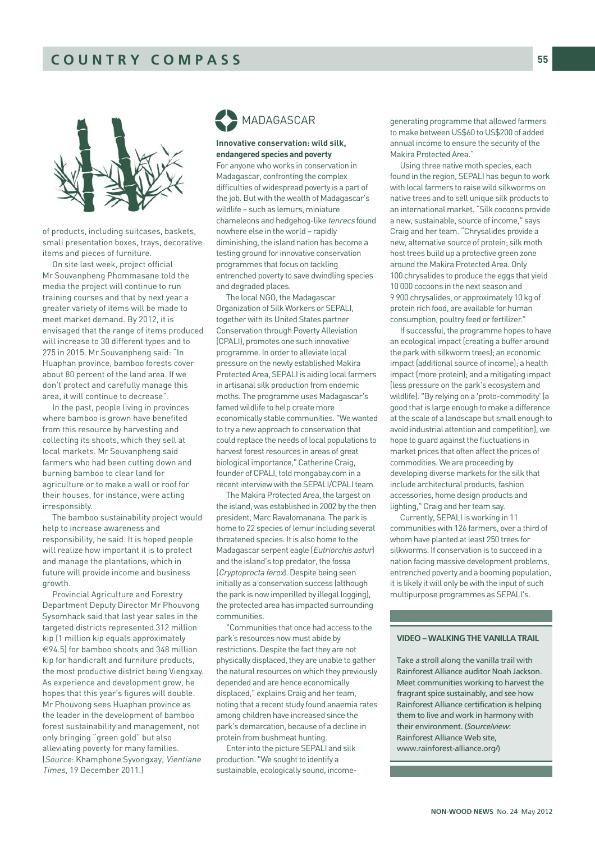

of products, including suitcases, baskets, small presentation boxes, trays, decorative items and pieces of furniture.

On site last week, project official Mr Souvanpheng Phommasane told the media the project will continue to run training courses and that by next year a greater variety of items will be made to meet market demand. By 2012, it is envisaged that the range of items produced will increase to 30 different types and to 275 in 2015. Mr Souvanpheng said: "In Huaphan province, bamboo forests cover about 80 percent of the land area. If we don't protect and carefully manage this area, it will continue to decrease".

In the past, people living in provinces where bamboo is grown have benefited from this resource by harvesting and collecting its shoots, which they sell at local markets. Mr Souvanpheng said farmers who had been cutting down and burning bamboo to clear land for agriculture or to make a wall or roof for their houses, for instance, were acting irresponsibly.

The bamboo sustainability project would help to increase awareness and responsibility, he said. It is hoped people will realize how important it is to protect and manage the plantations, which in future will provide income and business growth.

Provincial Agriculture and Forestry Department Deputy Director Mr Phouvong Sysomhack said that last year sales in the targeted districts represented 312 million kip (1 million kip equals approximately €94.5) for bamboo shoots and 348 million kip for handicraft and furniture products, the most productive district being Viengxay. As experience and development grow, he hopes that this year's figures will double. Mr Phouvong sees Huaphan province as the leader in the development of bamboo forest sustainability and management, not only bringing "green gold" but also alleviating poverty for many families. (Source: Khamphone Syvongxay, Vientiane Times, 19 December 2011.)

# MADAGASCAR %

#### **Innovative conservation: wild silk, endangered species and poverty**

For anyone who works in conservation in Madagascar, confronting the complex difficulties of widespread poverty is a part of the job. But with the wealth of Madagascar's wildlife – such as lemurs, miniature chameleons and hedgehog-like tenrecs found nowhere else in the world – rapidly diminishing, the island nation has become a testing ground for innovative conservation programmes that focus on tackling entrenched poverty to save dwindling species and degraded places.

The local NGO, the Madagascar Organization of Silk Workers or SEPALI, together with its United States partner Conservation through Poverty Alleviation (CPALI), promotes one such innovative programme. In order to alleviate local pressure on the newly established Makira Protected Area, SEPALI is aiding local farmers in artisanal silk production from endemic moths. The programme uses Madagascar's famed wildlife to help create more economically stable communities. "We wanted to try a new approach to conservation that could replace the needs of local populations to harvest forest resources in areas of great biological importance," Catherine Craig, founder of CPALI, told mongabay.com in a recent interview with the SEPALI/CPALI team.

The Makira Protected Area, the largest on the island, was established in 2002 by the then president, Marc Ravalomanana. The park is home to 22 species of lemur including several threatened species. It is also home to the Madagascar serpent eagle (Eutriorchis astur) and the island's top predator, the fossa (Cryptoprocta ferox). Despite being seen initially as a conservation success (although the park is now imperilled by illegal logging), the protected area has impacted surrounding communities.

"Communities that once had access to the park's resources now must abide by restrictions. Despite the fact they are not physically displaced, they are unable to gather the natural resources on which they previously depended and are hence economically displaced," explains Craig and her team, noting that a recent study found anaemia rates among children have increased since the park's demarcation, because of a decline in protein from bushmeat hunting.

Enter into the picture SEPALI and silk production. "We sought to identify a sustainable, ecologically sound, income-

generating programme that allowed farmers to make between US\$60 to US\$200 of added annual income to ensure the security of the Makira Protected Area."

Using three native moth species, each found in the region, SEPALI has begun to work with local farmers to raise wild silkworms on native trees and to sell unique silk products to an international market. "Silk cocoons provide a new, sustainable, source of income," says Craig and her team. "Chrysalides provide a new, alternative source of protein; silk moth host trees build up a protective green zone around the Makira Protected Area. Only 100 chrysalides to produce the eggs that yield 10 000 cocoons in the next season and 9 900 chrysalides, or approximately 10 kg of protein rich food, are available for human consumption, poultry feed or fertilizer."

If successful, the programme hopes to have an ecological impact (creating a buffer around the park with silkworm trees); an economic impact (additional source of income); a health impact (more protein); and a mitigating impact (less pressure on the park's ecosystem and wildlife). "By relying on a 'proto-commodity' (a good that is large enough to make a difference at the scale of a landscape but small enough to avoid industrial attention and competition), we hope to guard against the fluctuations in market prices that often affect the prices of commodities. We are proceeding by developing diverse markets for the silk that include architectural products, fashion accessories, home design products and lighting," Craig and her team say.

Currently, SEPALI is working in 11 communities with 126 farmers, over a third of whom have planted at least 250 trees for silkworms. If conservation is to succeed in a nation facing massive development problems, entrenched poverty and a booming population, it is likely it will only be with the input of such multipurpose programmes as SEPALI's.

### VIDEO – WALKING THE VANILLA TRAIL

Take a stroll along the vanilla trail with Rainforest Alliance auditor Noah Jackson. Meet communities working to harvest the fragrant spice sustainably, and see how Rainforest Alliance certification is helping them to live and work in harmony with their environment. (*Source/view*: Rainforest Alliance Web site, www.rainforest-alliance.org/)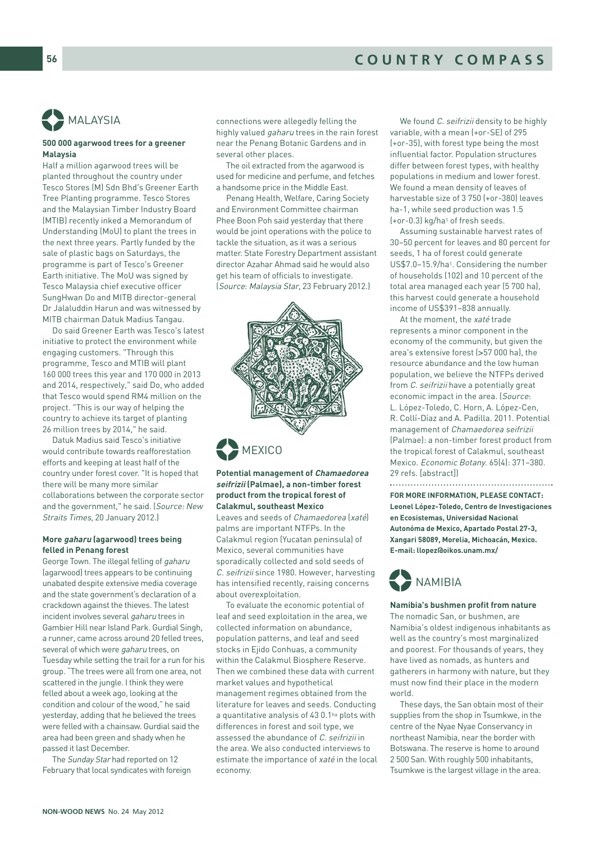

# MALAYSIA %

#### **500 000 agarwood trees for a greener Malaysia**

Half a million agarwood trees will be planted throughout the country under Tesco Stores (M) Sdn Bhd's Greener Earth Tree Planting programme. Tesco Stores and the Malaysian Timber Industry Board (MTIB) recently inked a Memorandum of Understanding (MoU) to plant the trees in the next three years. Partly funded by the sale of plastic bags on Saturdays, the programme is part of Tesco's Greener Earth initiative. The MoU was signed by Tesco Malaysia chief executive officer SungHwan Do and MITB director-general Dr Jalaluddin Harun and was witnessed by MITB chairman Datuk Madius Tangau.

Do said Greener Earth was Tesco's latest initiative to protect the environment while engaging customers. "Through this programme, Tesco and MTIB will plant 160 000 trees this year and 170 000 in 2013 and 2014, respectively," said Do, who added that Tesco would spend RM4 million on the project. "This is our way of helping the country to achieve its target of planting 26 million trees by 2014," he said.

Datuk Madius said Tesco's initiative would contribute towards reafforestation efforts and keeping at least half of the country under forest cover. "It is hoped that there will be many more similar collaborations between the corporate sector and the government," he said. (Source: New Straits Times, 20 January 2012.)

#### **More gaharu (agarwood) trees being felled in Penang forest**

George Town. The illegal felling of gaharu (agarwood) trees appears to be continuing unabated despite extensive media coverage and the state government's declaration of a crackdown against the thieves. The latest incident involves several gaharu trees in Gambier Hill near Island Park. Gurdial Singh, a runner, came across around 20 felled trees, several of which were gaharu trees, on Tuesday while setting the trail for a run for his group. "The trees were all from one area, not scattered in the jungle. I think they were felled about a week ago, looking at the condition and colour of the wood," he said yesterday, adding that he believed the trees were felled with a chainsaw. Gurdial said the area had been green and shady when he passed it last December.

The Sunday Star had reported on 12 February that local syndicates with foreign connections were allegedly felling the highly valued gaharu trees in the rain forest near the Penang Botanic Gardens and in several other places.

The oil extracted from the agarwood is used for medicine and perfume, and fetches a handsome price in the Middle East.

Penang Health, Welfare, Caring Society and Environment Committee chairman Phee Boon Poh said yesterday that there would be joint operations with the police to tackle the situation, as it was a serious matter. State Forestry Department assistant director Azahar Ahmad said he would also get his team of officials to investigate. (Source: Malaysia Star, 23 February 2012.)



**Potential management of Chamaedorea seifrizii (Palmae), a non-timber forest product from the tropical forest of Calakmul, southeast Mexico** 

Leaves and seeds of Chamaedorea (xaté) palms are important NTFPs. In the Calakmul region (Yucatan peninsula) of Mexico, several communities have sporadically collected and sold seeds of C. seifrizii since 1980. However, harvesting has intensified recently, raising concerns about overexploitation.

To evaluate the economic potential of leaf and seed exploitation in the area, we collected information on abundance, population patterns, and leaf and seed stocks in Ejido Conhuas, a community within the Calakmul Biosphere Reserve. Then we combined these data with current market values and hypothetical management regimes obtained from the literature for leaves and seeds. Conducting a quantitative analysis of 43 0.1ha plots with differences in forest and soil type, we assessed the abundance of C. seifrizii in the area. We also conducted interviews to estimate the importance of xaté in the local economy.

We found C. seifrizii density to be highly variable, with a mean (+or-SE) of 295 (+or-35), with forest type being the most influential factor. Population structures differ between forest types, with healthy populations in medium and lower forest. We found a mean density of leaves of harvestable size of 3 750 (+or-380) leaves ha-1, while seed production was 1.5 (+or-0.3) kg/ha1 of fresh seeds.

Assuming sustainable harvest rates of 30–50 percent for leaves and 80 percent for seeds, 1 ha of forest could generate US\$7.0–15.9/ha1. Considering the number of households (102) and 10 percent of the total area managed each year (5 700 ha), this harvest could generate a household income of US\$391–838 annually.

At the moment, the xaté trade represents a minor component in the economy of the community, but given the area's extensive forest (>57 000 ha), the resource abundance and the low human population, we believe the NTFPs derived from C. seifrizii have a potentially great economic impact in the area. (Source: L. López-Toledo, C. Horn, A. López-Cen, R. Collí-Díaz and A. Padilla. 2011. Potential management of Chamaedorea seifrizii (Palmae): a non-timber forest product from the tropical forest of Calakmul, southeast Mexico. Economic Botany. 65(4): 371–380. 29 refs. [abstract])

**FOR MORE INFORMATION, PLEASE CONTACT: Leonel López-Toledo, Centro de Investigaciones en Ecosistemas, Universidad Nacional Autonóma de Mexico, Apartado Postal 27-3, Xangari 58089, Morelia, Michoacán, Mexico. E-mail: llopez@oikos.unam.mx/** 



#### **Namibia's bushmen profit from nature**

The nomadic San, or bushmen, are Namibia's oldest indigenous inhabitants as well as the country's most marginalized and poorest. For thousands of years, they have lived as nomads, as hunters and gatherers in harmony with nature, but they must now find their place in the modern world.

These days, the San obtain most of their supplies from the shop in Tsumkwe, in the centre of the Nyae Nyae Conservancy in northeast Namibia, near the border with Botswana. The reserve is home to around 2 500 San. With roughly 500 inhabitants, Tsumkwe is the largest village in the area.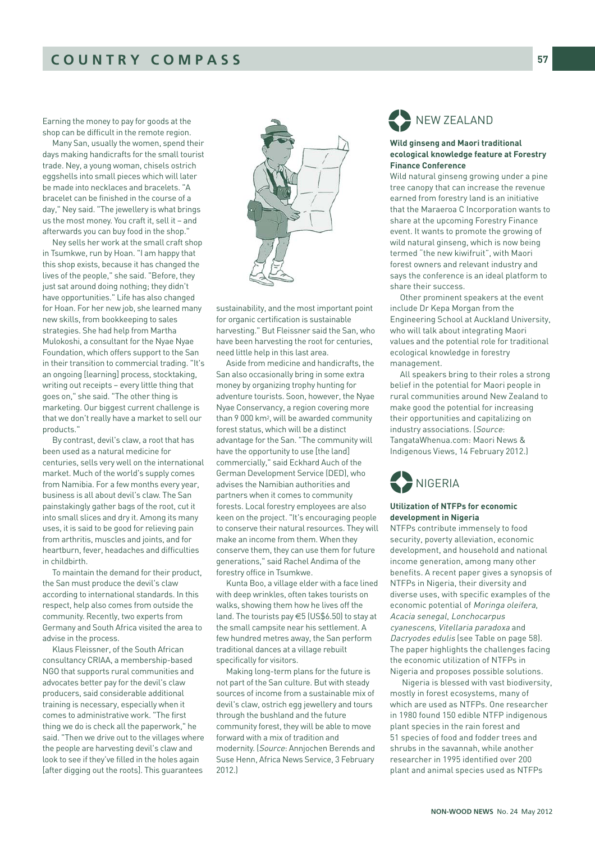Earning the money to pay for goods at the shop can be difficult in the remote region.

Many San, usually the women, spend their days making handicrafts for the small tourist trade. Ney, a young woman, chisels ostrich eggshells into small pieces which will later be made into necklaces and bracelets. "A bracelet can be finished in the course of a day," Ney said. "The jewellery is what brings us the most money. You craft it, sell it – and afterwards you can buy food in the shop."

Ney sells her work at the small craft shop in Tsumkwe, run by Hoan. "I am happy that this shop exists, because it has changed the lives of the people," she said. "Before, they just sat around doing nothing; they didn't have opportunities." Life has also changed for Hoan. For her new job, she learned many new skills, from bookkeeping to sales strategies. She had help from Martha Mulokoshi, a consultant for the Nyae Nyae Foundation, which offers support to the San in their transition to commercial trading. "It's an ongoing [learning] process, stocktaking, writing out receipts – every little thing that goes on," she said. "The other thing is marketing. Our biggest current challenge is that we don't really have a market to sell our products."

By contrast, devil's claw, a root that has been used as a natural medicine for centuries, sells very well on the international market. Much of the world's supply comes from Namibia. For a few months every year, business is all about devil's claw. The San painstakingly gather bags of the root, cut it into small slices and dry it. Among its many uses, it is said to be good for relieving pain from arthritis, muscles and joints, and for heartburn, fever, headaches and difficulties in childbirth.

To maintain the demand for their product, the San must produce the devil's claw according to international standards. In this respect, help also comes from outside the community. Recently, two experts from Germany and South Africa visited the area to advise in the process.

Klaus Fleissner, of the South African consultancy CRIAA, a membership-based NGO that supports rural communities and advocates better pay for the devil's claw producers, said considerable additional training is necessary, especially when it comes to administrative work. "The first thing we do is check all the paperwork," he said. "Then we drive out to the villages where the people are harvesting devil's claw and look to see if they've filled in the holes again [after digging out the roots]. This guarantees



sustainability, and the most important point for organic certification is sustainable harvesting." But Fleissner said the San, who have been harvesting the root for centuries, need little help in this last area.

Aside from medicine and handicrafts, the San also occasionally bring in some extra money by organizing trophy hunting for adventure tourists. Soon, however, the Nyae Nyae Conservancy, a region covering more than 9 000 km2, will be awarded community forest status, which will be a distinct advantage for the San. "The community will have the opportunity to use [the land] commercially," said Eckhard Auch of the German Development Service (DED), who advises the Namibian authorities and partners when it comes to community forests. Local forestry employees are also keen on the project. "It's encouraging people to conserve their natural resources. They will make an income from them. When they conserve them, they can use them for future generations," said Rachel Andima of the forestry office in Tsumkwe.

Kunta Boo, a village elder with a face lined with deep wrinkles, often takes tourists on walks, showing them how he lives off the land. The tourists pay €5 (US\$6.50) to stay at the small campsite near his settlement. A few hundred metres away, the San perform traditional dances at a village rebuilt specifically for visitors.

Making long-term plans for the future is not part of the San culture. But with steady sources of income from a sustainable mix of devil's claw, ostrich egg jewellery and tours through the bushland and the future community forest, they will be able to move forward with a mix of tradition and modernity. (Source: Annjochen Berends and Suse Henn, Africa News Service, 3 February 2012.)



#### **Wild ginseng and Maori traditional ecological knowledge feature at Forestry Finance Conference**

Wild natural ginseng growing under a pine tree canopy that can increase the revenue earned from forestry land is an initiative that the Maraeroa C Incorporation wants to share at the upcoming Forestry Finance event. It wants to promote the growing of wild natural ginseng, which is now being termed "the new kiwifruit", with Maori forest owners and relevant industry and says the conference is an ideal platform to share their success.

Other prominent speakers at the event include Dr Kepa Morgan from the Engineering School at Auckland University, who will talk about integrating Maori values and the potential role for traditional ecological knowledge in forestry management.

All speakers bring to their roles a strong belief in the potential for Maori people in rural communities around New Zealand to make good the potential for increasing their opportunities and capitalizing on industry associations. (Source: TangataWhenua.com: Maori News & Indigenous Views, 14 February 2012.)



#### **Utilization of NTFPs for economic development in Nigeria**

NTFPs contribute immensely to food security, poverty alleviation, economic development, and household and national income generation, among many other benefits. A recent paper gives a synopsis of NTFPs in Nigeria, their diversity and diverse uses, with specific examples of the economic potential of Moringa oleifera, Acacia senegal, Lonchocarpus cyanescens, Vitellaria paradoxa and Dacryodes edulis (see Table on page 58). The paper highlights the challenges facing the economic utilization of NTFPs in Nigeria and proposes possible solutions.

Nigeria is blessed with vast biodiversity, mostly in forest ecosystems, many of which are used as NTFPs. One researcher in 1980 found 150 edible NTFP indigenous plant species in the rain forest and 51 species of food and fodder trees and shrubs in the savannah, while another researcher in 1995 identified over 200 plant and animal species used as NTFPs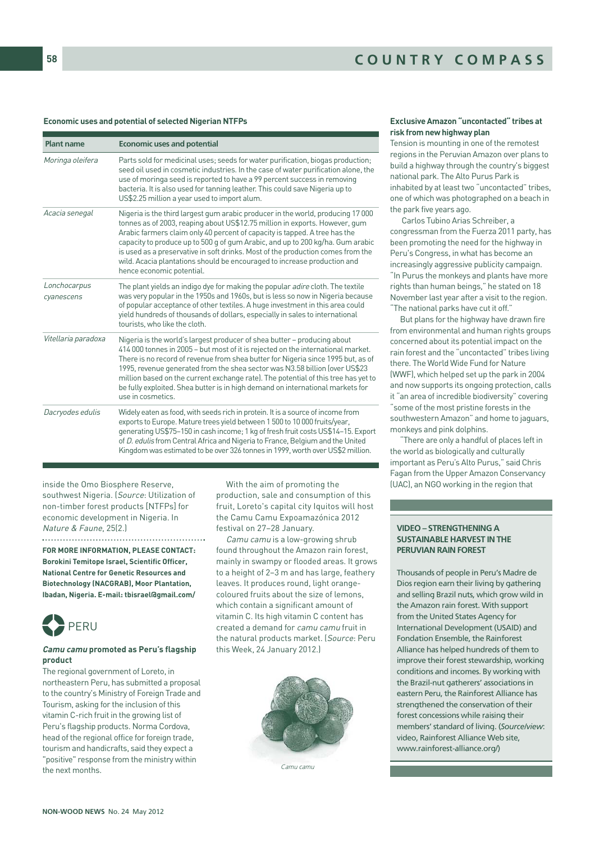#### **Economic uses and potential of selected Nigerian NTFPs**

| <b>Plant name</b>          | <b>Economic uses and potential</b>                                                                                                                                                                                                                                                                                                                                                                                                                                                                                           |
|----------------------------|------------------------------------------------------------------------------------------------------------------------------------------------------------------------------------------------------------------------------------------------------------------------------------------------------------------------------------------------------------------------------------------------------------------------------------------------------------------------------------------------------------------------------|
| Moringa oleifera           | Parts sold for medicinal uses; seeds for water purification, biogas production;<br>seed oil used in cosmetic industries. In the case of water purification alone, the<br>use of moringa seed is reported to have a 99 percent success in removing<br>bacteria. It is also used for tanning leather. This could save Nigeria up to<br>US\$2.25 million a year used to import alum.                                                                                                                                            |
| Acacia senegal             | Nigeria is the third largest gum arabic producer in the world, producing 17000<br>tonnes as of 2003, reaping about US\$12.75 million in exports. However, gum<br>Arabic farmers claim only 40 percent of capacity is tapped. A tree has the<br>capacity to produce up to 500 g of gum Arabic, and up to 200 kg/ha. Gum arabic<br>is used as a preservative in soft drinks. Most of the production comes from the<br>wild. Acacia plantations should be encouraged to increase production and<br>hence economic potential.    |
| Lonchocarpus<br>cyanescens | The plant yields an indigo dye for making the popular <i>adire</i> cloth. The textile<br>was very popular in the 1950s and 1960s, but is less so now in Nigeria because<br>of popular acceptance of other textiles. A huge investment in this area could<br>yield hundreds of thousands of dollars, especially in sales to international<br>tourists, who like the cloth.                                                                                                                                                    |
| Vitellaria paradoxa        | Nigeria is the world's largest producer of shea butter - producing about<br>414 000 tonnes in 2005 - but most of it is rejected on the international market.<br>There is no record of revenue from shea butter for Nigeria since 1995 but, as of<br>1995, revenue generated from the shea sector was N3.58 billion (over US\$23<br>million based on the current exchange rate). The potential of this tree has yet to<br>be fully exploited. Shea butter is in high demand on international markets for<br>use in cosmetics. |
| Dacryodes edulis           | Widely eaten as food, with seeds rich in protein. It is a source of income from<br>exports to Europe. Mature trees yield between 1 500 to 10 000 fruits/year,<br>generating US\$75-150 in cash income; 1 kg of fresh fruit costs US\$14-15. Export<br>of D. edulis from Central Africa and Nigeria to France, Belgium and the United<br>Kingdom was estimated to be over 326 tonnes in 1999, worth over US\$2 million.                                                                                                       |

inside the Omo Biosphere Reserve, southwest Nigeria. (Source: Utilization of non-timber forest products [NTFPs] for economic development in Nigeria. In Nature & Faune, 25(2)

**FOR MORE INFORMATION, PLEASE CONTACT: Borokini Temitope Israel, Scientific Officer, National Centre for Genetic Resources and Biotechnology (NACGRAB), Moor Plantation, Ibadan, Nigeria. E-mail: tbisrael@gmail.com/**



#### **Camu camu promoted as Peru's flagship product**

The regional government of Loreto, in northeastern Peru, has submitted a proposal to the country's Ministry of Foreign Trade and Tourism, asking for the inclusion of this vitamin C-rich fruit in the growing list of Peru's flagship products. Norma Cordova, head of the regional office for foreign trade, tourism and handicrafts, said they expect a "positive" response from the ministry within the next months.

With the aim of promoting the production, sale and consumption of this fruit, Loreto's capital city Iquitos will host the Camu Camu Expoamazónica 2012 festival on 27–28 January.

Camu camu is a low-growing shrub found throughout the Amazon rain forest, mainly in swampy or flooded areas. It grows to a height of 2–3 m and has large, feathery leaves. It produces round, light orangecoloured fruits about the size of lemons, which contain a significant amount of vitamin C. Its high vitamin C content has created a demand for camu camu fruit in the natural products market. (Source: Peru this Week, 24 January 2012.)



Camu camu

#### **Exclusive Amazon "uncontacted" tribes at risk from new highway plan**

Tension is mounting in one of the remotest regions in the Peruvian Amazon over plans to build a highway through the country's biggest national park. The Alto Purus Park is inhabited by at least two "uncontacted" tribes, one of which was photographed on a beach in the park five years ago.

Carlos Tubino Arias Schreiber, a congressman from the Fuerza 2011 party, has been promoting the need for the highway in Peru's Congress, in what has become an increasingly aggressive publicity campaign. "In Purus the monkeys and plants have more rights than human beings," he stated on 18 November last year after a visit to the region. "The national parks have cut it off."

But plans for the highway have drawn fire from environmental and human rights groups concerned about its potential impact on the rain forest and the "uncontacted" tribes living there. The World Wide Fund for Nature (WWF), which helped set up the park in 2004 and now supports its ongoing protection, calls it "an area of incredible biodiversity" covering "some of the most pristine forests in the southwestern Amazon" and home to jaguars, monkeys and pink dolphins.

"There are only a handful of places left in the world as biologically and culturally important as Peru's Alto Purus," said Chris Fagan from the Upper Amazon Conservancy (UAC), an NGO working in the region that

#### VIDEO – STRENGTHENING A SUSTAINABLE HARVEST IN THE PERUVIAN RAIN FOREST

Thousands of people in Peru's Madre de Dios region earn their living by gathering and selling Brazil nuts, which grow wild in the Amazon rain forest. With support from the United States Agency for International Development (USAID) and Fondation Ensemble, the Rainforest Alliance has helped hundreds of them to improve their forest stewardship, working conditions and incomes. By working with the Brazil-nut gatherers' associations in eastern Peru, the Rainforest Alliance has strengthened the conservation of their forest concessions while raising their members' standard of living. (*Source/view*: video, Rainforest Alliance Web site, www.rainforest-alliance.org/)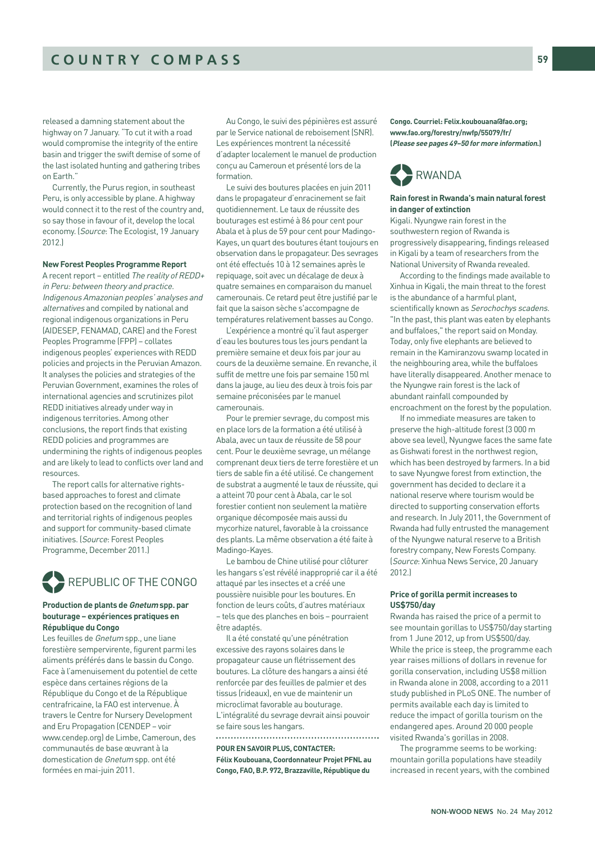released a damning statement about the highway on 7 January. "To cut it with a road would compromise the integrity of the entire basin and trigger the swift demise of some of the last isolated hunting and gathering tribes on Earth."

Currently, the Purus region, in southeast Peru, is only accessible by plane. A highway would connect it to the rest of the country and, so say those in favour of it, develop the local economy. (Source: The Ecologist, 19 January 2012.)

#### **New Forest Peoples Programme Report**

A recent report – entitled The reality of REDD+ in Peru: between theory and practice. Indigenous Amazonian peoples' analyses and alternatives and compiled by national and regional indigenous organizations in Peru (AIDESEP, FENAMAD, CARE) and the Forest Peoples Programme (FPP) – collates indigenous peoples' experiences with REDD policies and projects in the Peruvian Amazon. It analyses the policies and strategies of the Peruvian Government, examines the roles of international agencies and scrutinizes pilot REDD initiatives already under way in indigenous territories. Among other conclusions, the report finds that existing REDD policies and programmes are undermining the rights of indigenous peoples and are likely to lead to conflicts over land and resources.

The report calls for alternative rightsbased approaches to forest and climate protection based on the recognition of land and territorial rights of indigenous peoples and support for community-based climate initiatives. (Source: Forest Peoples Programme, December 2011.)



#### **Production de plants de Gnetum spp. par bouturage – expériences pratiques en République du Congo**

Les feuilles de Gnetum spp., une liane forestière sempervirente, figurent parmi les aliments préférés dans le bassin du Congo. Face à l'amenuisement du potentiel de cette espèce dans certaines régions de la République du Congo et de la République centrafricaine, la FAO est intervenue. À travers le Centre for Nursery Development and Eru Propagation (CENDEP – voir www.cendep.org) de Limbe, Cameroun, des communautés de base œuvrant à la domestication de Gnetum spp. ont été formées en mai-juin 2011.

Au Congo, le suivi des pépinières est assuré par le Service national de reboisement (SNR). Les expériences montrent la nécessité d'adapter localement le manuel de production conçu au Cameroun et présenté lors de la formation.

Le suivi des boutures placées en juin 2011 dans le propagateur d'enracinement se fait quotidiennement. Le taux de réussite des bouturages est estimé à 86 pour cent pour Abala et à plus de 59 pour cent pour Madingo-Kayes, un quart des boutures étant toujours en observation dans le propagateur. Des sevrages ont été effectués 10 à 12 semaines après le repiquage, soit avec un décalage de deux à quatre semaines en comparaison du manuel camerounais. Ce retard peut être justifié par le fait que la saison sèche s'accompagne de températures relativement basses au Congo.

L'expérience a montré qu'il faut asperger d'eau les boutures tous les jours pendant la première semaine et deux fois par jour au cours de la deuxième semaine. En revanche, il suffit de mettre une fois par semaine 150 ml dans la jauge, au lieu des deux à trois fois par semaine préconisées par le manuel camerounais.

Pour le premier sevrage, du compost mis en place lors de la formation a été utilisé à Abala, avec un taux de réussite de 58 pour cent. Pour le deuxième sevrage, un mélange comprenant deux tiers de terre forestière et un tiers de sable fin a été utilisé. Ce changement de substrat a augmenté le taux de réussite, qui a atteint 70 pour cent à Abala, car le sol forestier contient non seulement la matière organique décomposée mais aussi du mycorhize naturel, favorable à la croissance des plants. La même observation a été faite à Madingo-Kayes.

Le bambou de Chine utilisé pour clôturer les hangars s'est révélé inapproprié car il a été attaqué par les insectes et a créé une poussière nuisible pour les boutures. En fonction de leurs coûts, d'autres matériaux – tels que des planches en bois – pourraient être adaptés.

Il a été constaté qu'une pénétration excessive des rayons solaires dans le propagateur cause un flétrissement des boutures. La clôture des hangars a ainsi été renforcée par des feuilles de palmier et des tissus (rideaux), en vue de maintenir un microclimat favorable au bouturage. L'intégralité du sevrage devrait ainsi pouvoir se faire sous les hangars. 

**POUR EN SAVOIR PLUS, CONTACTER: Félix Koubouana, Coordonnateur Projet PFNL au Congo, FAO, B.P. 972, Brazzaville, République du**

**Congo. Courriel: Felix.koubouana@fao.org; www.fao.org/forestry/nwfp/55079/fr/ (Please see pages 49–50 for more information.)**

# **EXPROVED**

#### **Rain forest in Rwanda's main natural forest in danger of extinction**

Kigali. Nyungwe rain forest in the southwestern region of Rwanda is progressively disappearing, findings released in Kigali by a team of researchers from the National University of Rwanda revealed.

According to the findings made available to Xinhua in Kigali, the main threat to the forest is the abundance of a harmful plant, scientifically known as Serochochys scadens. "In the past, this plant was eaten by elephants and buffaloes," the report said on Monday. Today, only five elephants are believed to remain in the Kamiranzovu swamp located in the neighbouring area, while the buffaloes have literally disappeared. Another menace to the Nyungwe rain forest is the lack of abundant rainfall compounded by encroachment on the forest by the population.

If no immediate measures are taken to preserve the high-altitude forest (3 000 m above sea level), Nyungwe faces the same fate as Gishwati forest in the northwest region, which has been destroyed by farmers. In a bid to save Nyungwe forest from extinction, the government has decided to declare it a national reserve where tourism would be directed to supporting conservation efforts and research. In July 2011, the Government of Rwanda had fully entrusted the management of the Nyungwe natural reserve to a British forestry company, New Forests Company. (Source: Xinhua News Service, 20 January 2012.)

#### **Price of gorilla permit increases to US\$750/day**

Rwanda has raised the price of a permit to see mountain gorillas to US\$750/day starting from 1 June 2012, up from US\$500/day. While the price is steep, the programme each year raises millions of dollars in revenue for gorilla conservation, including US\$8 million in Rwanda alone in 2008, according to a 2011 study published in PLoS ONE. The number of permits available each day is limited to reduce the impact of gorilla tourism on the endangered apes. Around 20 000 people visited Rwanda's gorillas in 2008.

The programme seems to be working: mountain gorilla populations have steadily increased in recent years, with the combined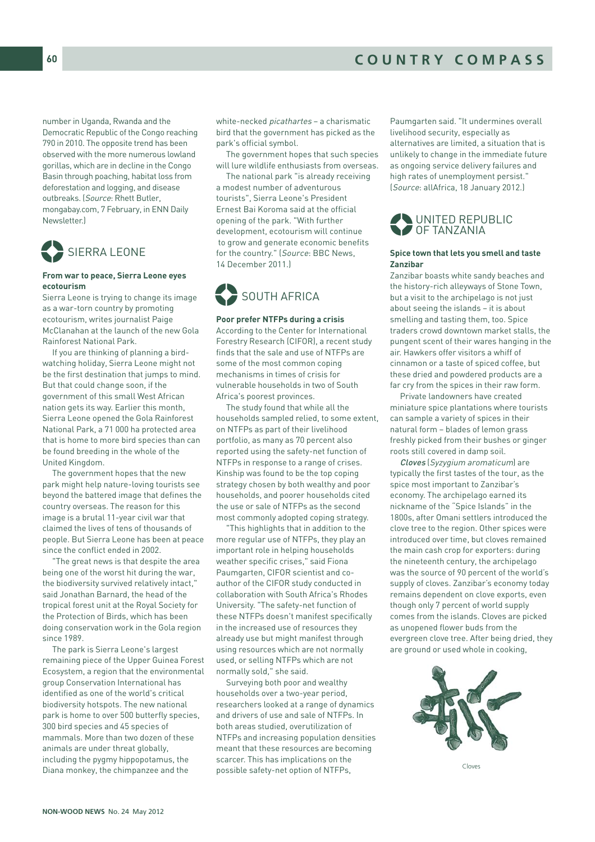number in Uganda, Rwanda and the Democratic Republic of the Congo reaching 790 in 2010. The opposite trend has been observed with the more numerous lowland gorillas, which are in decline in the Congo Basin through poaching, habitat loss from deforestation and logging, and disease outbreaks. (Source: Rhett Butler, mongabay.com, 7 February, in ENN Daily Newsletter.)



#### **From war to peace, Sierra Leone eyes ecotourism**

Sierra Leone is trying to change its image as a war-torn country by promoting ecotourism, writes journalist Paige McClanahan at the launch of the new Gola Rainforest National Park.

If you are thinking of planning a birdwatching holiday, Sierra Leone might not be the first destination that jumps to mind. But that could change soon, if the government of this small West African nation gets its way. Earlier this month, Sierra Leone opened the Gola Rainforest National Park, a 71 000 ha protected area that is home to more bird species than can be found breeding in the whole of the United Kingdom.

The government hopes that the new park might help nature-loving tourists see beyond the battered image that defines the country overseas. The reason for this image is a brutal 11-year civil war that claimed the lives of tens of thousands of people. But Sierra Leone has been at peace since the conflict ended in 2002.

"The great news is that despite the area being one of the worst hit during the war, the biodiversity survived relatively intact," said Jonathan Barnard, the head of the tropical forest unit at the Royal Society for the Protection of Birds, which has been doing conservation work in the Gola region since 1989.

The park is Sierra Leone's largest remaining piece of the Upper Guinea Forest Ecosystem, a region that the environmental group Conservation International has identified as one of the world's critical biodiversity hotspots. The new national park is home to over 500 butterfly species, 300 bird species and 45 species of mammals. More than two dozen of these animals are under threat globally, including the pygmy hippopotamus, the Diana monkey, the chimpanzee and the

white-necked picathartes – a charismatic bird that the government has picked as the park's official symbol.

The government hopes that such species will lure wildlife enthusiasts from overseas.

The national park "is already receiving a modest number of adventurous tourists", Sierra Leone's President Ernest Bai Koroma said at the official opening of the park. "With further development, ecotourism will continue to grow and generate economic benefits for the country." (Source: BBC News, 14 December 2011.)



#### **Poor prefer NTFPs during a crisis**

According to the Center for International Forestry Research (CIFOR), a recent study finds that the sale and use of NTFPs are some of the most common coping mechanisms in times of crisis for vulnerable households in two of South Africa's poorest provinces.

The study found that while all the households sampled relied, to some extent, on NTFPs as part of their livelihood portfolio, as many as 70 percent also reported using the safety-net function of NTFPs in response to a range of crises. Kinship was found to be the top coping strategy chosen by both wealthy and poor households, and poorer households cited the use or sale of NTFPs as the second most commonly adopted coping strategy.

"This highlights that in addition to the more regular use of NTFPs, they play an important role in helping households weather specific crises," said Fiona Paumgarten, CIFOR scientist and coauthor of the CIFOR study conducted in collaboration with South Africa's Rhodes University. "The safety-net function of these NTFPs doesn't manifest specifically in the increased use of resources they already use but might manifest through using resources which are not normally used, or selling NTFPs which are not normally sold," she said.

Surveying both poor and wealthy households over a two-year period, researchers looked at a range of dynamics and drivers of use and sale of NTFPs. In both areas studied, overutilization of NTFPs and increasing population densities meant that these resources are becoming scarcer. This has implications on the possible safety-net option of NTFPs,

Paumgarten said. "It undermines overall livelihood security, especially as alternatives are limited, a situation that is unlikely to change in the immediate future as ongoing service delivery failures and high rates of unemployment persist." (Source: allAfrica, 18 January 2012.)



#### **Spice town that lets you smell and taste Zanzibar**

Zanzibar boasts white sandy beaches and the history-rich alleyways of Stone Town, but a visit to the archipelago is not just about seeing the islands – it is about smelling and tasting them, too. Spice traders crowd downtown market stalls, the pungent scent of their wares hanging in the air. Hawkers offer visitors a whiff of cinnamon or a taste of spiced coffee, but these dried and powdered products are a far cry from the spices in their raw form.

Private landowners have created miniature spice plantations where tourists can sample a variety of spices in their natural form – blades of lemon grass freshly picked from their bushes or ginger roots still covered in damp soil.

Cloves (Syzygium aromaticum) are typically the first tastes of the tour, as the spice most important to Zanzibar's economy. The archipelago earned its nickname of the "Spice Islands" in the 1800s, after Omani settlers introduced the clove tree to the region. Other spices were introduced over time, but cloves remained the main cash crop for exporters: during the nineteenth century, the archipelago was the source of 90 percent of the world's supply of cloves. Zanzibar's economy today remains dependent on clove exports, even though only 7 percent of world supply comes from the islands. Cloves are picked as unopened flower buds from the evergreen clove tree. After being dried, they are ground or used whole in cooking,



Cloves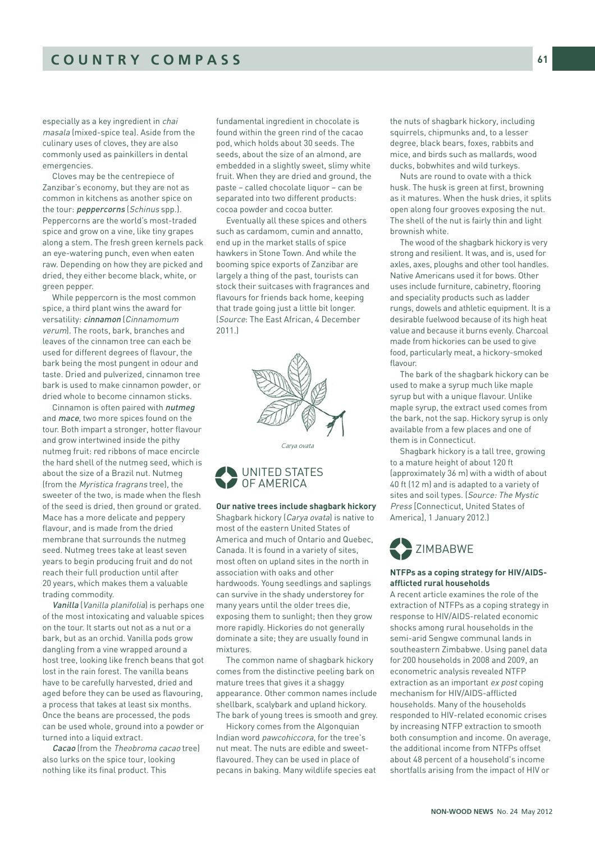especially as a key ingredient in chai masala (mixed-spice tea). Aside from the culinary uses of cloves, they are also commonly used as painkillers in dental emergencies.

Cloves may be the centrepiece of Zanzibar's economy, but they are not as common in kitchens as another spice on the tour: *peppercorns* (Schinus spp.). Peppercorns are the world's most-traded spice and grow on a vine, like tiny grapes along a stem. The fresh green kernels pack an eye-watering punch, even when eaten raw. Depending on how they are picked and dried, they either become black, white, or green pepper.

While peppercorn is the most common spice, a third plant wins the award for versatility: cinnamon (Cinnamomum verum). The roots, bark, branches and leaves of the cinnamon tree can each be used for different degrees of flavour, the bark being the most pungent in odour and taste. Dried and pulverized, cinnamon tree bark is used to make cinnamon powder, or dried whole to become cinnamon sticks.

Cinnamon is often paired with nutmeg and *mace*, two more spices found on the tour. Both impart a stronger, hotter flavour and grow intertwined inside the pithy nutmeg fruit: red ribbons of mace encircle the hard shell of the nutmeg seed, which is about the size of a Brazil nut. Nutmeg (from the Myristica fragrans tree), the sweeter of the two, is made when the flesh of the seed is dried, then ground or grated. Mace has a more delicate and peppery flavour, and is made from the dried membrane that surrounds the nutmeg seed. Nutmeg trees take at least seven years to begin producing fruit and do not reach their full production until after 20 years, which makes them a valuable trading commodity.

Vanilla (Vanilla planifolia) is perhaps one of the most intoxicating and valuable spices on the tour. It starts out not as a nut or a bark, but as an orchid. Vanilla pods grow dangling from a vine wrapped around a host tree, looking like french beans that got lost in the rain forest. The vanilla beans have to be carefully harvested, dried and aged before they can be used as flavouring, a process that takes at least six months. Once the beans are processed, the pods can be used whole, ground into a powder or turned into a liquid extract.

Cacao (from the Theobroma cacao tree) also lurks on the spice tour, looking nothing like its final product. This

fundamental ingredient in chocolate is found within the green rind of the cacao pod, which holds about 30 seeds. The seeds, about the size of an almond, are embedded in a slightly sweet, slimy white fruit. When they are dried and ground, the paste – called chocolate liquor – can be separated into two different products: cocoa powder and cocoa butter.

Eventually all these spices and others such as cardamom, cumin and annatto, end up in the market stalls of spice hawkers in Stone Town. And while the booming spice exports of Zanzibar are largely a thing of the past, tourists can stock their suitcases with fragrances and flavours for friends back home, keeping that trade going just a little bit longer. (Source: The East African, 4 December 2011.)



Carva ovata



**Our native trees include shagbark hickory**  Shagbark hickory (Carya ovata) is native to most of the eastern United States of America and much of Ontario and Quebec, Canada. It is found in a variety of sites, most often on upland sites in the north in association with oaks and other hardwoods. Young seedlings and saplings can survive in the shady understorey for many years until the older trees die, exposing them to sunlight; then they grow more rapidly. Hickories do not generally dominate a site; they are usually found in mixtures.

The common name of shagbark hickory comes from the distinctive peeling bark on mature trees that gives it a shaggy appearance. Other common names include shellbark, scalybark and upland hickory. The bark of young trees is smooth and grey.

Hickory comes from the Algonquian Indian word pawcohiccora, for the tree's nut meat. The nuts are edible and sweetflavoured. They can be used in place of pecans in baking. Many wildlife species eat the nuts of shagbark hickory, including squirrels, chipmunks and, to a lesser degree, black bears, foxes, rabbits and mice, and birds such as mallards, wood ducks, bobwhites and wild turkeys.

Nuts are round to ovate with a thick husk. The husk is green at first, browning as it matures. When the husk dries, it splits open along four grooves exposing the nut. The shell of the nut is fairly thin and light brownish white.

The wood of the shagbark hickory is very strong and resilient. It was, and is, used for axles, axes, ploughs and other tool handles. Native Americans used it for bows. Other uses include furniture, cabinetry, flooring and speciality products such as ladder rungs, dowels and athletic equipment. It is a desirable fuelwood because of its high heat value and because it burns evenly. Charcoal made from hickories can be used to give food, particularly meat, a hickory-smoked flavour.

The bark of the shagbark hickory can be used to make a syrup much like maple syrup but with a unique flavour. Unlike maple syrup, the extract used comes from the bark, not the sap. Hickory syrup is only available from a few places and one of them is in Connecticut.

Shagbark hickory is a tall tree, growing to a mature height of about 120 ft (approximately 36 m) with a width of about 40 ft (12 m) and is adapted to a variety of sites and soil types. (Source: The Mystic Press [Connecticut, United States of America], 1 January 2012.)

# ZIMBABWE %

#### **NTFPs as a coping strategy for HIV/AIDSafflicted rural households**

A recent article examines the role of the extraction of NTFPs as a coping strategy in response to HIV/AIDS-related economic shocks among rural households in the semi-arid Sengwe communal lands in southeastern Zimbabwe. Using panel data for 200 households in 2008 and 2009, an econometric analysis revealed NTFP extraction as an important ex post coping mechanism for HIV/AIDS-afflicted households. Many of the households responded to HIV-related economic crises by increasing NTFP extraction to smooth both consumption and income. On average, the additional income from NTFPs offset about 48 percent of a household's income shortfalls arising from the impact of HIV or